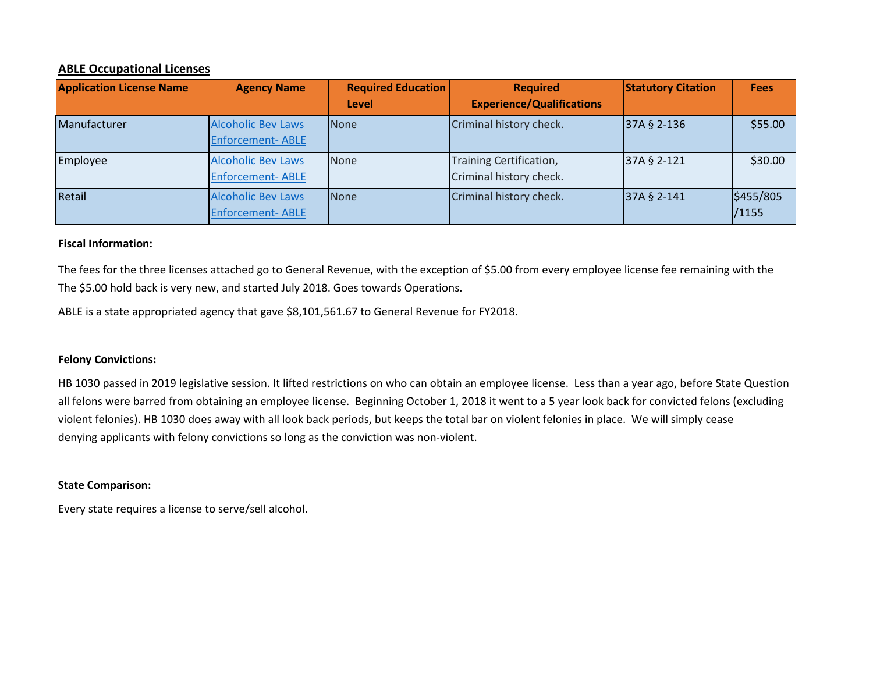## **ABLE Occupational Licenses**

| <b>Application License Name</b> | <b>Agency Name</b>                                   | <b>Required Education</b><br>Level | <b>Required</b><br><b>Experience/Qualifications</b> | <b>Statutory Citation</b> | <b>Fees</b>        |
|---------------------------------|------------------------------------------------------|------------------------------------|-----------------------------------------------------|---------------------------|--------------------|
| Manufacturer                    | <b>Alcoholic Bev Laws</b><br><b>Enforcement-ABLE</b> | None                               | Criminal history check.                             | 37A § 2-136               | \$55.00            |
| Employee                        | <b>Alcoholic Bev Laws</b><br><b>Enforcement-ABLE</b> | <b>None</b>                        | Training Certification,<br>Criminal history check.  | 37A § 2-121               | \$30.00            |
| Retail                          | <b>Alcoholic Bev Laws</b><br><b>Enforcement-ABLE</b> | None                               | Criminal history check.                             | 37A § 2-141               | \$455/805<br>/1155 |

#### **Fiscal Information:**

The fees for the three licenses attached go to General Revenue, with the exception of \$5.00 from every employee license fee remaining with the The \$5.00 hold back is very new, and started July 2018. Goes towards Operations.

ABLE is a state appropriated agency that gave \$8,101,561.67 to General Revenue for FY2018.

#### **Felony Convictions:**

violent felonies). HB 1030 does away with all look back periods, but keeps the total bar on violent felonies in place. We will simply cease denying applicants with felony convictions so long as the conviction was non-violent. HB 1030 passed in 2019 legislative session. It lifted restrictions on who can obtain an employee license. Less than a year ago, before State Question all felons were barred from obtaining an employee license. Beginning October 1, 2018 it went to a 5 year look back for convicted felons (excluding

#### **State Comparison:**

Every state requires a license to serve/sell alcohol.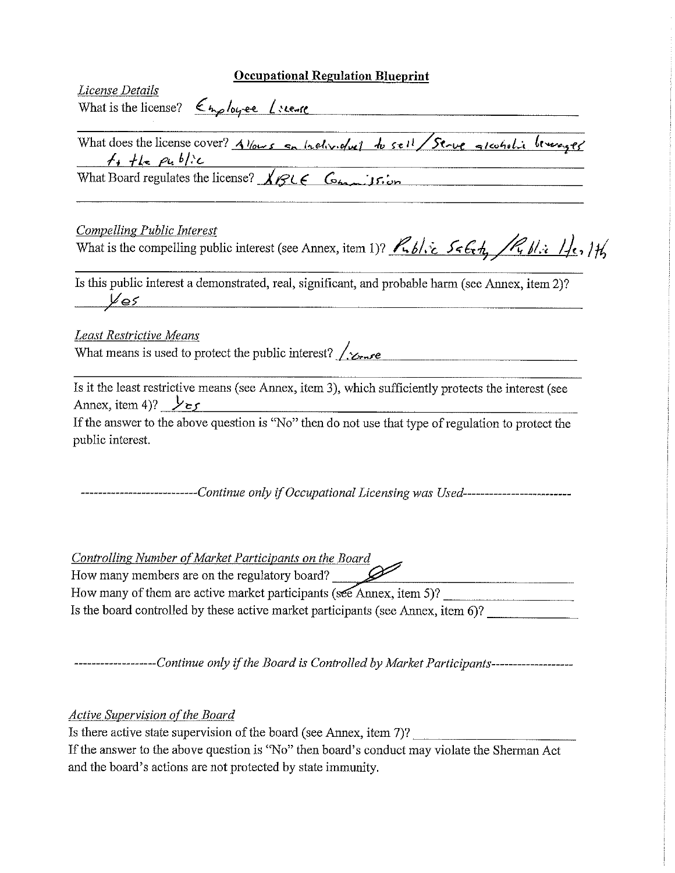| <b>Occupational Regulation Blueprint</b>                                                                                                                                                                                                                                      |
|-------------------------------------------------------------------------------------------------------------------------------------------------------------------------------------------------------------------------------------------------------------------------------|
| License Details<br>What is the license? $\epsilon_{\text{tho}/\text{cycle}}$ (seemse                                                                                                                                                                                          |
|                                                                                                                                                                                                                                                                               |
| What does the license cover? Allows on Inclinional to sell / Serve glasholic beverage<br>$f_{1}$ the public                                                                                                                                                                   |
| $f_1$ $f_2$ $g_4$ $h/2$<br>What Board regulates the license? $\sqrt{g_1^2 + g_2^2 + g_3^2 + g_4^2}$                                                                                                                                                                           |
|                                                                                                                                                                                                                                                                               |
| <b>Compelling Public Interest</b>                                                                                                                                                                                                                                             |
| What is the compelling public interest (see Annex, item 1)? $R_1 b l \gtrsim 5 \epsilon \epsilon_r t_1 / R_1 b l \gtrsim 1/t_2$ , $H_2$                                                                                                                                       |
| Is this public interest a demonstrated, real, significant, and probable harm (see Annex, item 2)?<br>$\overline{\mathscr{L}es}$                                                                                                                                               |
| <b>Least Restrictive Means</b>                                                                                                                                                                                                                                                |
| What means is used to protect the public interest? $\sqrt{\chi_{\text{r}} r e}$                                                                                                                                                                                               |
|                                                                                                                                                                                                                                                                               |
| Is it the least restrictive means (see Annex, item 3), which sufficiently protects the interest (see<br>Annex, item 4)? $\frac{1}{2}$ $\epsilon$ $\epsilon$                                                                                                                   |
| If the answer to the above question is "No" then do not use that type of regulation to protect the<br>public interest.                                                                                                                                                        |
| ------------------------Continue only if Occupational Licensing was Used--------------------------                                                                                                                                                                            |
| Controlling Number of Market Participants on the Board<br>How many members are on the regulatory board?                                                                                                                                                                       |
|                                                                                                                                                                                                                                                                               |
| Is the board controlled by these active market participants (see Annex, item 6)?                                                                                                                                                                                              |
| -------------------Continue only if the Board is Controlled by Market Participants--------------------                                                                                                                                                                        |
| <b>Active Supervision of the Board</b><br>Is there active state supervision of the board (see Annex, item 7)?<br>If the answer to the above question is "No" then board's conduct may violate the Sherman Act<br>and the board's actions are not protected by state immunity. |
|                                                                                                                                                                                                                                                                               |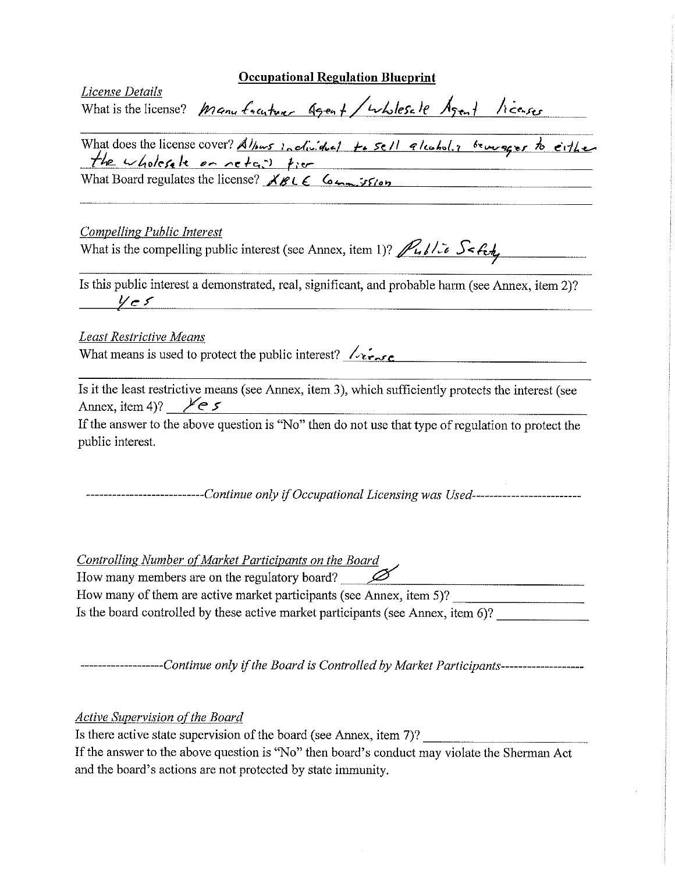|                                                                                                         | <b>Occupational Regulation Blueprint</b>                                                                                                                 |
|---------------------------------------------------------------------------------------------------------|----------------------------------------------------------------------------------------------------------------------------------------------------------|
| License Details                                                                                         | What is the license? Manu fracture Agent/wholesale Agent licenses                                                                                        |
|                                                                                                         | What does the license cover? Alburs inclinitief to sell alcohol. I beweger to either<br>the wholesale on netation from                                   |
|                                                                                                         | What Board regulates the license? $XBLE$ Commission                                                                                                      |
| <b>Compelling Public Interest</b>                                                                       | What is the compelling public interest (see Annex, item 1)? $\sqrt{\frac{1}{6} \int \frac{1}{c} \mathcal{S} \cdot \mathcal{E} \cdot \mathcal{E}}$        |
|                                                                                                         | Is this public interest a demonstrated, real, significant, and probable harm (see Annex, item 2)?                                                        |
| Least Restrictive Means                                                                                 |                                                                                                                                                          |
| What means is used to protect the public interest? $\sqrt{\epsilon}$                                    |                                                                                                                                                          |
| Annex, item 4)? $\swarrow$ e s                                                                          | Is it the least restrictive means (see Annex, item 3), which sufficiently protects the interest (see                                                     |
| public interest.                                                                                        | If the answer to the above question is "No" then do not use that type of regulation to protect the                                                       |
|                                                                                                         | ---------------------------Continue only if Occupational Licensing was Used------------------------                                                      |
| Controlling Number of Market Participants on the Board<br>How many members are on the regulatory board? |                                                                                                                                                          |
|                                                                                                         | How many of them are active market participants (see Annex, item 5)?<br>Is the board controlled by these active market participants (see Annex, item 6)? |
|                                                                                                         |                                                                                                                                                          |
|                                                                                                         | -------------------Continue only if the Board is Controlled by Market Participants------------------                                                     |
| <b>Active Supervision of the Board</b>                                                                  | Is there active state supervision of the board (see Annex, item 7)?                                                                                      |
| and the board's actions are not protected by state immunity.                                            | If the answer to the above question is "No" then board's conduct may violate the Sherman Act                                                             |

 $\frac{1}{2} \sum_{i=1}^{n} \frac{1}{2} \sum_{j=1}^{n} \frac{1}{2} \sum_{j=1}^{n} \frac{1}{2} \sum_{j=1}^{n} \frac{1}{2} \sum_{j=1}^{n} \frac{1}{2} \sum_{j=1}^{n} \frac{1}{2} \sum_{j=1}^{n} \frac{1}{2} \sum_{j=1}^{n} \frac{1}{2} \sum_{j=1}^{n} \frac{1}{2} \sum_{j=1}^{n} \frac{1}{2} \sum_{j=1}^{n} \frac{1}{2} \sum_{j=1}^{n} \frac{1}{2} \sum_{j=1}^{n$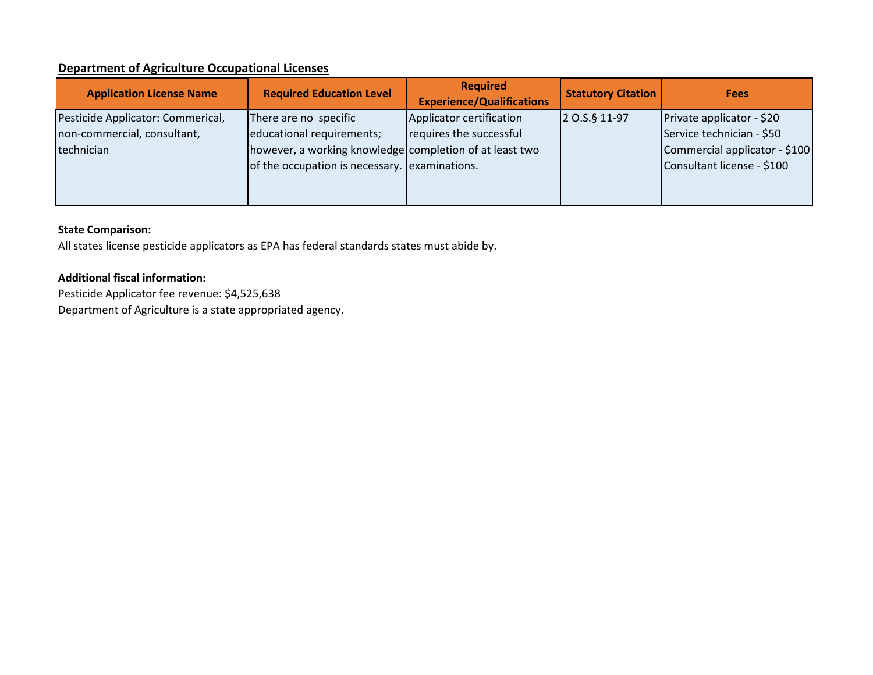# **Department of Agriculture Occupational Licenses**

| <b>Application License Name</b>                                                | <b>Required Education Level</b>                                                                                                                                | <b>Required</b><br><b>Experience/Qualifications</b> | <b>Statutory Citation</b> | <b>Fees</b>                                                                                                           |
|--------------------------------------------------------------------------------|----------------------------------------------------------------------------------------------------------------------------------------------------------------|-----------------------------------------------------|---------------------------|-----------------------------------------------------------------------------------------------------------------------|
| Pesticide Applicator: Commerical,<br>non-commercial, consultant,<br>technician | There are no specific<br>educational requirements;<br>however, a working knowledge completion of at least two<br>of the occupation is necessary. examinations. | Applicator certification<br>requires the successful | 2 0.S.§ 11-97             | Private applicator - \$20<br>Service technician - \$50<br>Commercial applicator - \$100<br>Consultant license - \$100 |

# **State Comparison:**

All states license pesticide applicators as EPA has federal standards states must abide by.

# **Additional fiscal information:**

Pesticide Applicator fee revenue: \$4,525,638 Department of Agriculture is a state appropriated agency.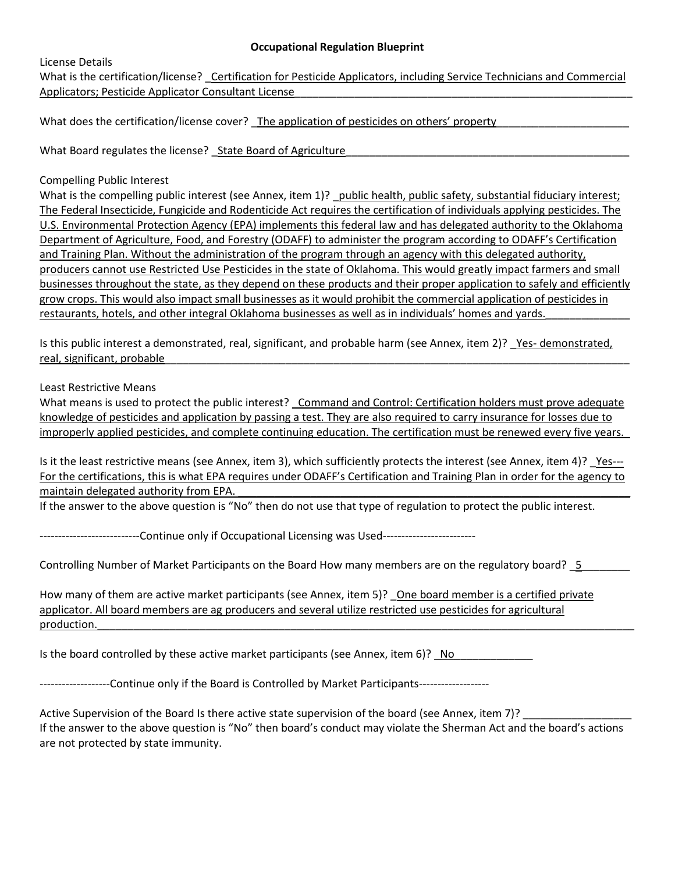License Details

What is the certification/license? Certification for Pesticide Applicators, including Service Technicians and Commercial Applicators; Pesticide Applicator Consultant License

What does the certification/license cover? The application of pesticides on others' property

What Board regulates the license? \_State Board of Agriculture

Compelling Public Interest

What is the compelling public interest (see Annex, item 1)? public health, public safety, substantial fiduciary interest; The Federal Insecticide, Fungicide and Rodenticide Act requires the certification of individuals applying pesticides. The U.S. Environmental Protection Agency (EPA) implements this federal law and has delegated authority to the Oklahoma Department of Agriculture, Food, and Forestry (ODAFF) to administer the program according to ODAFF's Certification and Training Plan. Without the administration of the program through an agency with this delegated authority, producers cannot use Restricted Use Pesticides in the state of Oklahoma. This would greatly impact farmers and small businesses throughout the state, as they depend on these products and their proper application to safely and efficiently grow crops. This would also impact small businesses as it would prohibit the commercial application of pesticides in restaurants, hotels, and other integral Oklahoma businesses as well as in individuals' homes and yards.

Is this public interest a demonstrated, real, significant, and probable harm (see Annex, item 2)? Yes- demonstrated, real, significant, probable

Least Restrictive Means

What means is used to protect the public interest? Command and Control: Certification holders must prove adequate knowledge of pesticides and application by passing a test. They are also required to carry insurance for losses due to improperly applied pesticides, and complete continuing education. The certification must be renewed every five years.

Is it the least restrictive means (see Annex, item 3), which sufficiently protects the interest (see Annex, item 4)? Yes---For the certifications, this is what EPA requires under ODAFF's Certification and Training Plan in order for the agency to maintain delegated authority from EPA.

If the answer to the above question is "No" then do not use that type of regulation to protect the public interest.

-------------------------Continue only if Occupational Licensing was Used-------------------------

Controlling Number of Market Participants on the Board How many members are on the regulatory board? \_5

How many of them are active market participants (see Annex, item 5)? One board member is a certified private applicator. All board members are ag producers and several utilize restricted use pesticides for agricultural production.

Is the board controlled by these active market participants (see Annex, item 6)?  $\overline{N}$  No

-------------------Continue only if the Board is Controlled by Market Participants-------------------

Active Supervision of the Board Is there active state supervision of the board (see Annex, item 7)? If the answer to the above question is "No" then board's conduct may violate the Sherman Act and the board's actions are not protected by state immunity.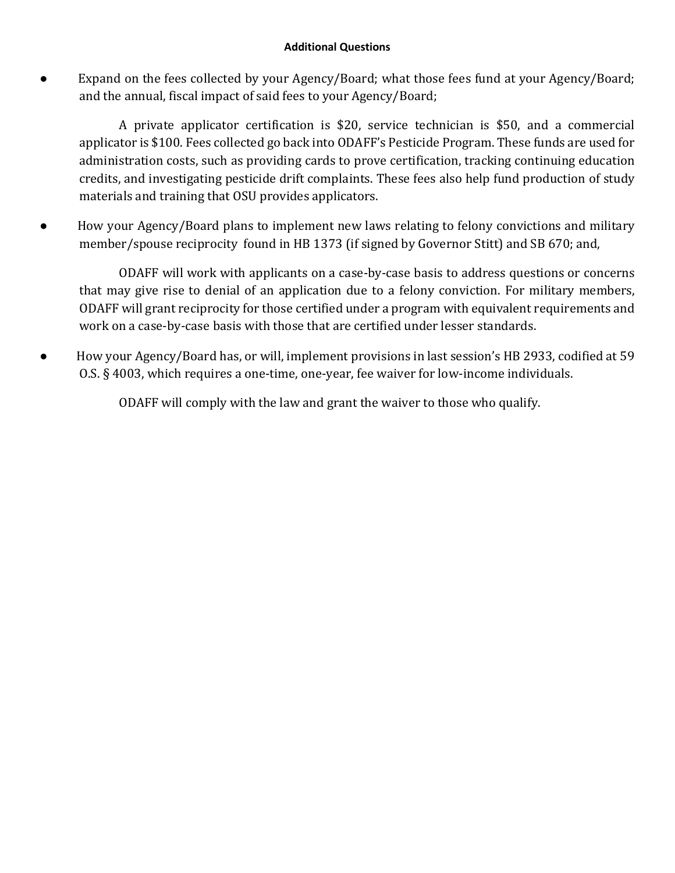Expand on the fees collected by your Agency/Board; what those fees fund at your Agency/Board; and the annual, fiscal impact of said fees to your Agency/Board;

A private applicator certification is \$20, service technician is \$50, and a commercial applicator is \$100. Fees collected go back into ODAFF's Pesticide Program. These funds are used for administration costs, such as providing cards to prove certification, tracking continuing education credits, and investigating pesticide drift complaints. These fees also help fund production of study materials and training that OSU provides applicators.

● How your Agency/Board plans to implement new laws relating to felony convictions and military member/spouse reciprocity found in HB 1373 (if signed by Governor Stitt) and SB 670; and,

ODAFF will work with applicants on a case-by-case basis to address questions or concerns that may give rise to denial of an application due to a felony conviction. For military members, ODAFF will grant reciprocity for those certified under a program with equivalent requirements and work on a case-by-case basis with those that are certified under lesser standards.

● How your Agency/Board has, or will, implement provisions in last session's HB 2933, codified at 59 O.S. § 4003, which requires a one-time, one-year, fee waiver for low-income individuals.

ODAFF will comply with the law and grant the waiver to those who qualify.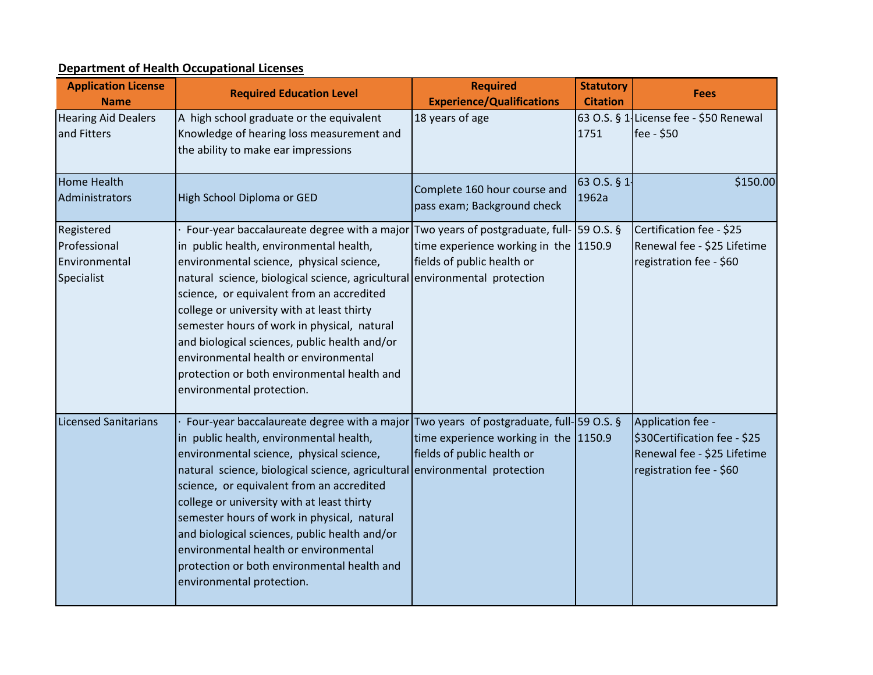# **Department of Health Occupational Licenses**

| <b>Application License</b><br><b>Name</b>                 | <b>Required Education Level</b>                                                                                                                                                                                                                                                                                                                                                                                                                                                                                                                                              | <b>Required</b><br><b>Experience/Qualifications</b>                 | <b>Statutory</b><br><b>Citation</b> | <b>Fees</b>                                                                                                 |
|-----------------------------------------------------------|------------------------------------------------------------------------------------------------------------------------------------------------------------------------------------------------------------------------------------------------------------------------------------------------------------------------------------------------------------------------------------------------------------------------------------------------------------------------------------------------------------------------------------------------------------------------------|---------------------------------------------------------------------|-------------------------------------|-------------------------------------------------------------------------------------------------------------|
| <b>Hearing Aid Dealers</b><br>and Fitters                 | A high school graduate or the equivalent<br>Knowledge of hearing loss measurement and<br>the ability to make ear impressions                                                                                                                                                                                                                                                                                                                                                                                                                                                 | 18 years of age                                                     | 1751                                | 63 O.S. § $1$ -License fee - \$50 Renewal<br>fee - \$50                                                     |
| <b>Home Health</b><br>Administrators                      | High School Diploma or GED                                                                                                                                                                                                                                                                                                                                                                                                                                                                                                                                                   | Complete 160 hour course and<br>pass exam; Background check         | 63 O.S. § 1.<br>1962a               | \$150.00                                                                                                    |
| Registered<br>Professional<br>Environmental<br>Specialist | Four-year baccalaureate degree with a major Two years of postgraduate, full- [59 O.S. §<br>in public health, environmental health,<br>environmental science, physical science,<br>natural science, biological science, agricultural environmental protection<br>science, or equivalent from an accredited<br>college or university with at least thirty<br>semester hours of work in physical, natural<br>and biological sciences, public health and/or<br>environmental health or environmental<br>protection or both environmental health and<br>environmental protection. | time experience working in the 1150.9<br>fields of public health or |                                     | Certification fee - \$25<br>Renewal fee - \$25 Lifetime<br>registration fee - \$60                          |
| <b>Licensed Sanitarians</b>                               | Four-year baccalaureate degree with a major Two years of postgraduate, full-159 O.S. §<br>in public health, environmental health,<br>environmental science, physical science,<br>natural science, biological science, agricultural environmental protection<br>science, or equivalent from an accredited<br>college or university with at least thirty<br>semester hours of work in physical, natural<br>and biological sciences, public health and/or<br>environmental health or environmental<br>protection or both environmental health and<br>environmental protection.  | time experience working in the 1150.9<br>fields of public health or |                                     | Application fee -<br>\$30Certification fee - \$25<br>Renewal fee - \$25 Lifetime<br>registration fee - \$60 |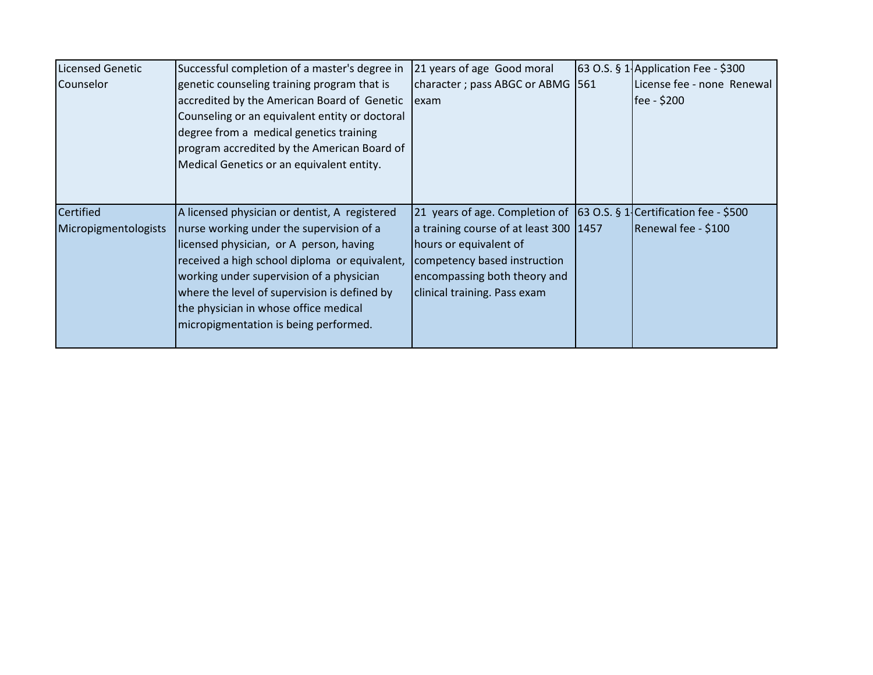| <b>Licensed Genetic</b> | Successful completion of a master's degree in  | 21 years of age Good moral                                           | 63 O.S. § 1 Application Fee - \$300 |
|-------------------------|------------------------------------------------|----------------------------------------------------------------------|-------------------------------------|
| Counselor               | genetic counseling training program that is    | character; pass ABGC or ABMG 561                                     | License fee - none Renewal          |
|                         | accredited by the American Board of Genetic    | lexam                                                                | fee - \$200                         |
|                         | Counseling or an equivalent entity or doctoral |                                                                      |                                     |
|                         | degree from a medical genetics training        |                                                                      |                                     |
|                         | program accredited by the American Board of    |                                                                      |                                     |
|                         | Medical Genetics or an equivalent entity.      |                                                                      |                                     |
|                         |                                                |                                                                      |                                     |
|                         |                                                |                                                                      |                                     |
| <b>Certified</b>        | A licensed physician or dentist, A registered  | 21 years of age. Completion of 63 O.S. § 1 Certification fee - \$500 |                                     |
| Micropigmentologists    | nurse working under the supervision of a       | a training course of at least 300   1457                             | Renewal fee - \$100                 |
|                         | licensed physician, or A person, having        | hours or equivalent of                                               |                                     |
|                         | received a high school diploma or equivalent,  | competency based instruction                                         |                                     |
|                         | working under supervision of a physician       | encompassing both theory and                                         |                                     |
|                         | where the level of supervision is defined by   | clinical training. Pass exam                                         |                                     |
|                         | the physician in whose office medical          |                                                                      |                                     |
|                         | micropigmentation is being performed.          |                                                                      |                                     |
|                         |                                                |                                                                      |                                     |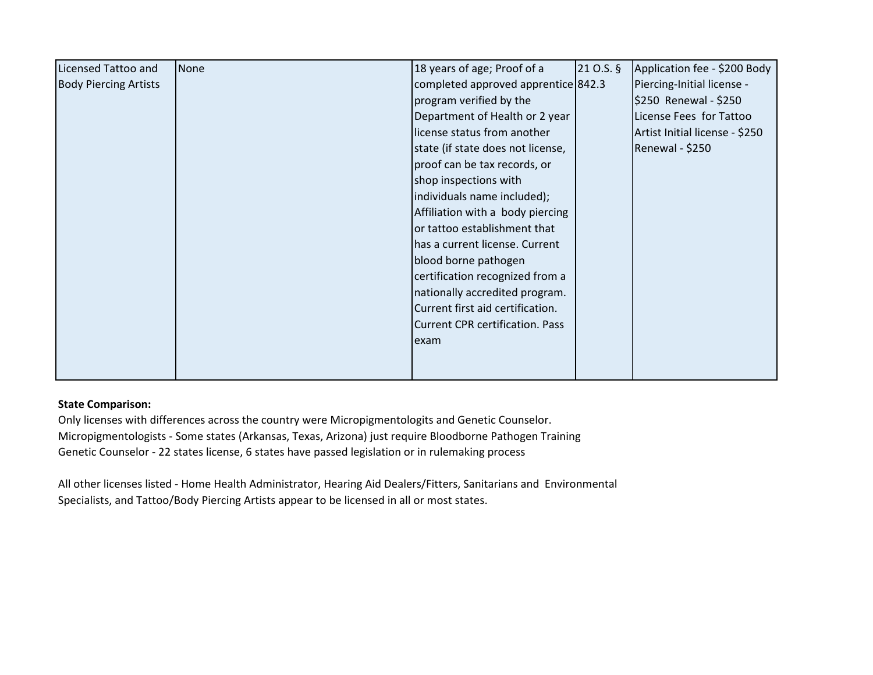| <b>Licensed Tattoo and</b>   | <b>None</b> | 18 years of age; Proof of a            | $210.5.$ § | Application fee - \$200 Body   |
|------------------------------|-------------|----------------------------------------|------------|--------------------------------|
| <b>Body Piercing Artists</b> |             | completed approved apprentice 842.3    |            | Piercing-Initial license -     |
|                              |             | program verified by the                |            | \$250 Renewal - \$250          |
|                              |             | Department of Health or 2 year         |            | License Fees for Tattoo        |
|                              |             | license status from another            |            | Artist Initial license - \$250 |
|                              |             | state (if state does not license,      |            | Renewal - \$250                |
|                              |             | proof can be tax records, or           |            |                                |
|                              |             | shop inspections with                  |            |                                |
|                              |             | individuals name included);            |            |                                |
|                              |             | Affiliation with a body piercing       |            |                                |
|                              |             | or tattoo establishment that           |            |                                |
|                              |             | has a current license. Current         |            |                                |
|                              |             | blood borne pathogen                   |            |                                |
|                              |             | certification recognized from a        |            |                                |
|                              |             | nationally accredited program.         |            |                                |
|                              |             | Current first aid certification.       |            |                                |
|                              |             | <b>Current CPR certification. Pass</b> |            |                                |
|                              |             | lexam                                  |            |                                |
|                              |             |                                        |            |                                |
|                              |             |                                        |            |                                |

# **State Comparison:**

Only licenses with differences across the country were Micropigmentologits and Genetic Counselor. Micropigmentologists - Some states (Arkansas, Texas, Arizona) just require Bloodborne Pathogen Training Genetic Counselor - 22 states license, 6 states have passed legislation or in rulemaking process

All other licenses listed - Home Health Administrator, Hearing Aid Dealers/Fitters, Sanitarians and Environmental Specialists, and Tattoo/Body Piercing Artists appear to be licensed in all or most states.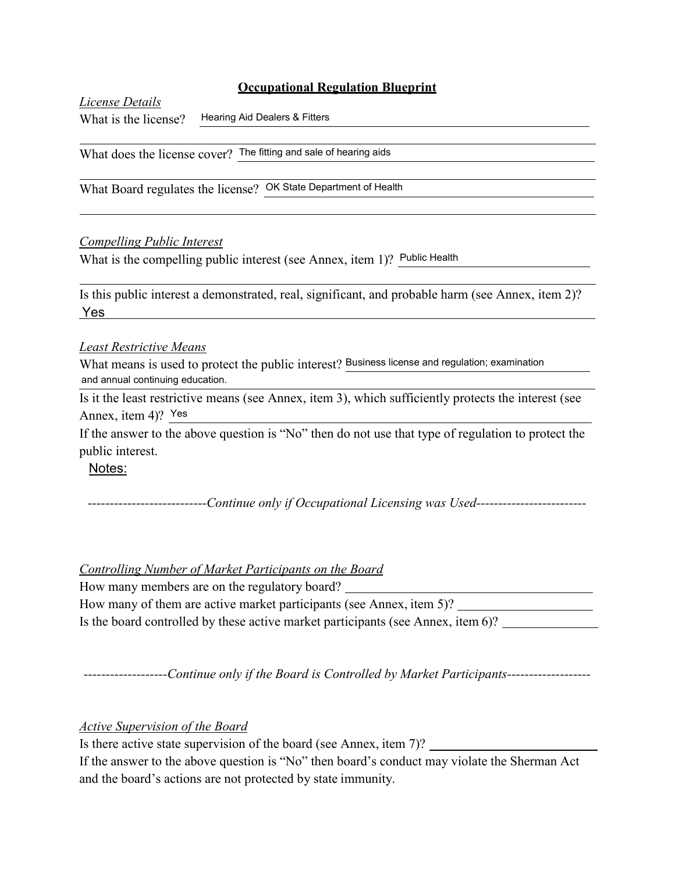*License Details* What is the license? Hearing Aid Dealers & Fitters

What does the license cover? The fitting and sale of hearing aids

What Board regulates the license? OK State Department of Health

## *Compelling Public Interest*

What is the compelling public interest (see Annex, item 1)? Public Health

Is this public interest a demonstrated, real, significant, and probable harm (see Annex, item 2)? Yes

## *Least Restrictive Means*

What means is used to protect the public interest? Business license and regulation; examination and annual continuing education.

Is it the least restrictive means (see Annex, item 3), which sufficiently protects the interest (see Annex, item 4)? Yes

If the answer to the above question is "No" then do not use that type of regulation to protect the public interest.

Notes:

*---------------------------Continue only if Occupational Licensing was Used-------------------------*

## *Controlling Number of Market Participants on the Board*

How many members are on the regulatory board? How many of them are active market participants (see Annex, item 5)? Is the board controlled by these active market participants (see Annex, item 6)?

*-------------------Continue only if the Board is Controlled by Market Participants-------------------*

*Active Supervision of the Board*

Is there active state supervision of the board (see Annex, item 7)?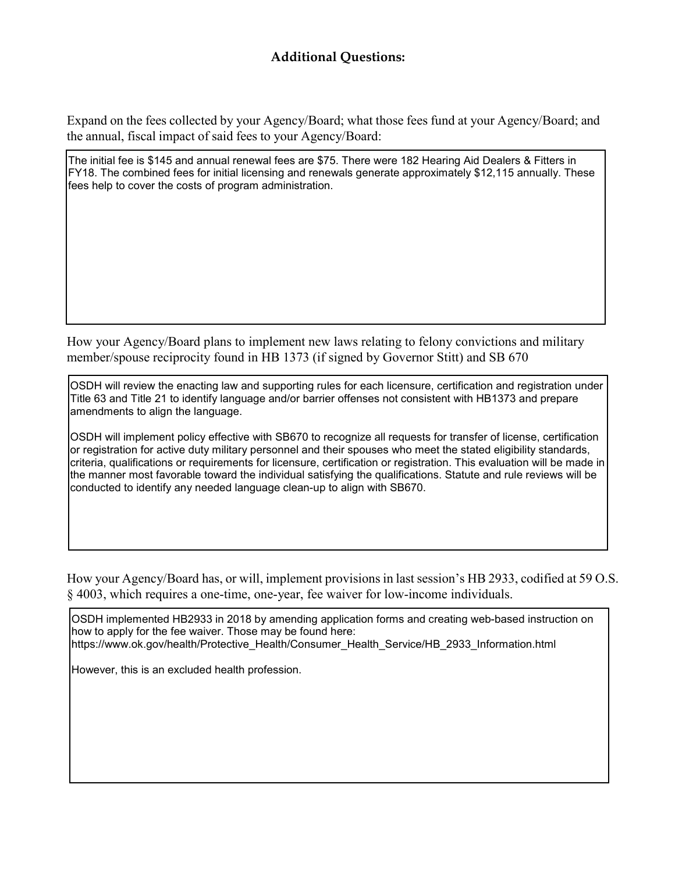Expand on the fees collected by your Agency/Board; what those fees fund at your Agency/Board; and the annual, fiscal impact of said fees to your Agency/Board:

The initial fee is \$145 and annual renewal fees are \$75. There were 182 Hearing Aid Dealers & Fitters in FY18. The combined fees for initial licensing and renewals generate approximately \$12,115 annually. These fees help to cover the costs of program administration.

How your Agency/Board plans to implement new laws relating to felony convictions and military member/spouse reciprocity found in HB 1373 (if signed by Governor Stitt) and SB 670

OSDH will review the enacting law and supporting rules for each licensure, certification and registration under Title 63 and Title 21 to identify language and/or barrier offenses not consistent with HB1373 and prepare amendments to align the language.

OSDH will implement policy effective with SB670 to recognize all requests for transfer of license, certification or registration for active duty military personnel and their spouses who meet the stated eligibility standards, criteria, qualifications or requirements for licensure, certification or registration. This evaluation will be made in the manner most favorable toward the individual satisfying the qualifications. Statute and rule reviews will be conducted to identify any needed language clean-up to align with SB670.

How your Agency/Board has, or will, implement provisions in last session's HB 2933, codified at 59 O.S. § 4003, which requires a one-time, one-year, fee waiver for low-income individuals.

OSDH implemented HB2933 in 2018 by amending application forms and creating web-based instruction on how to apply for the fee waiver. Those may be found here: [https://www.ok.gov/health/Protective\\_Health/Consumer\\_Health\\_Service/HB\\_2933\\_Information.html](http://www.ok.gov/health/Protective_Health/Consumer_Health_Service/HB_2933_Information.html)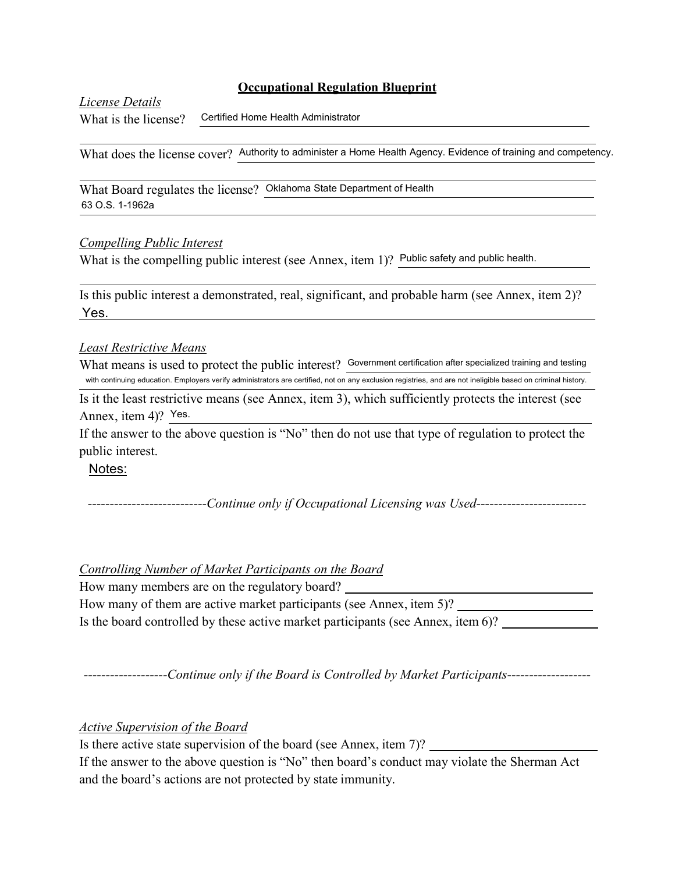*License Details*

What is the license? Certified Home Health Administrator

What does the license cover? Authority to administer a Home Health Agency. Evidence of training and competency.

What Board regulates the license? Oklahoma State Department of Health 63 O.S. 1-1962a

## *Compelling Public Interest*

What is the compelling public interest (see Annex, item 1)? Public safety and public health.

Is this public interest a demonstrated, real, significant, and probable harm (see Annex, item 2)? Yes.

## *Least Restrictive Means*

What means is used to protect the public interest? Government certification after specialized training and testing with continuing education. Employers verify administrators are certified, not on any exclusion registries, and are not ineligible based on criminal history.

Is it the least restrictive means (see Annex, item 3), which sufficiently protects the interest (see Annex, item 4)? Yes.

If the answer to the above question is "No" then do not use that type of regulation to protect the public interest.

## Notes:

*---------------------------Continue only if Occupational Licensing was Used-------------------------*

## *Controlling Number of Market Participants on the Board*

How many members are on the regulatory board? How many of them are active market participants (see Annex, item 5)? Is the board controlled by these active market participants (see Annex, item 6)?

*-------------------Continue only if the Board is Controlled by Market Participants-------------------*

## *Active Supervision of the Board*

Is there active state supervision of the board (see Annex, item 7)?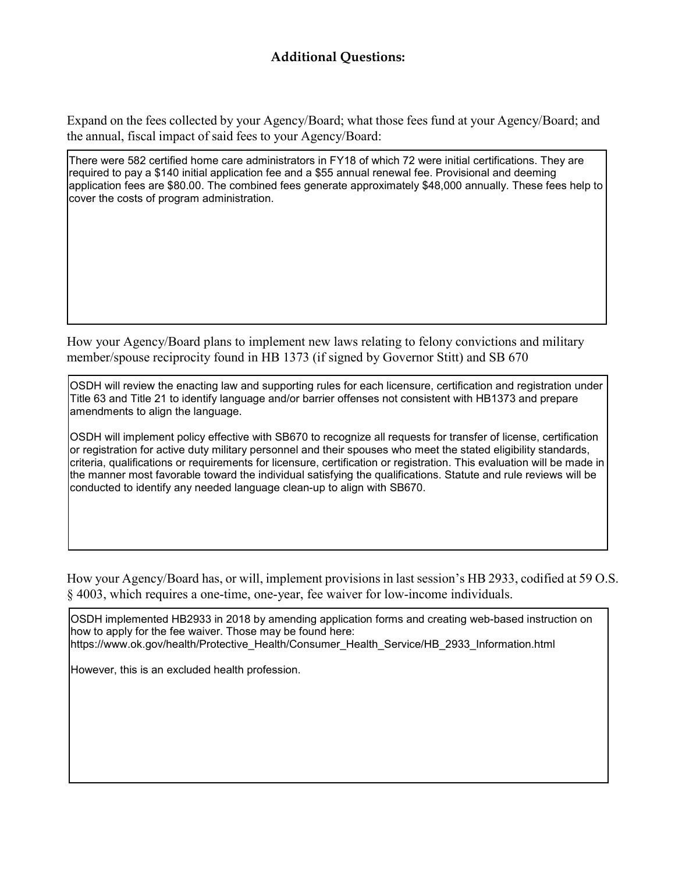Expand on the fees collected by your Agency/Board; what those fees fund at your Agency/Board; and the annual, fiscal impact of said fees to your Agency/Board:

There were 582 certified home care administrators in FY18 of which 72 were initial certifications. They are required to pay a \$140 initial application fee and a \$55 annual renewal fee. Provisional and deeming application fees are \$80.00. The combined fees generate approximately \$48,000 annually. These fees help to cover the costs of program administration.

How your Agency/Board plans to implement new laws relating to felony convictions and military member/spouse reciprocity found in HB 1373 (if signed by Governor Stitt) and SB 670

OSDH will review the enacting law and supporting rules for each licensure, certification and registration under Title 63 and Title 21 to identify language and/or barrier offenses not consistent with HB1373 and prepare amendments to align the language.

OSDH will implement policy effective with SB670 to recognize all requests for transfer of license, certification or registration for active duty military personnel and their spouses who meet the stated eligibility standards, criteria, qualifications or requirements for licensure, certification or registration. This evaluation will be made in the manner most favorable toward the individual satisfying the qualifications. Statute and rule reviews will be conducted to identify any needed language clean-up to align with SB670.

How your Agency/Board has, or will, implement provisions in last session's HB 2933, codified at 59 O.S. § 4003, which requires a one-time, one-year, fee waiver for low-income individuals.

OSDH implemented HB2933 in 2018 by amending application forms and creating web-based instruction on how to apply for the fee waiver. Those may be found here: [https://www.ok.gov/health/Protective\\_Health/Consumer\\_Health\\_Service/HB\\_2933\\_Information.html](http://www.ok.gov/health/Protective_Health/Consumer_Health_Service/HB_2933_Information.html)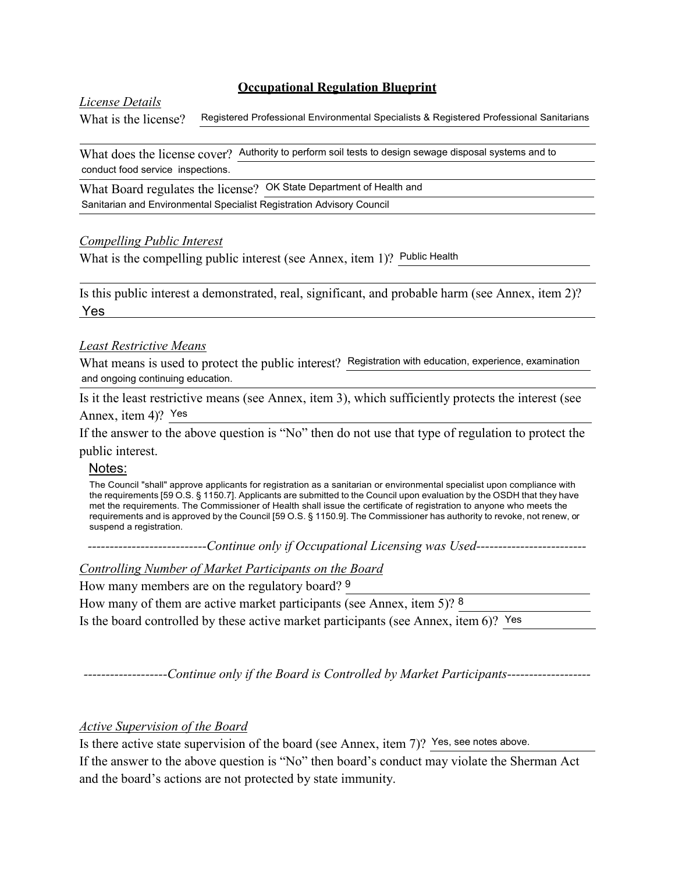#### *License Details*

What is the license? Registered Professional Environmental Specialists & Registered Professional Sanitarians

What does the license cover? Authority to perform soil tests to design sewage disposal systems and to conduct food service inspections.

What Board regulates the license? OK State Department of Health and Sanitarian and Environmental Specialist Registration Advisory Council

#### *Compelling Public Interest*

What is the compelling public interest (see Annex, item 1)? Public Health

Is this public interest a demonstrated, real, significant, and probable harm (see Annex, item 2)? Yes

#### *Least Restrictive Means*

What means is used to protect the public interest? Registration with education, experience, examination and ongoing continuing education.

Is it the least restrictive means (see Annex, item 3), which sufficiently protects the interest (see Annex, item 4)? Yes

If the answer to the above question is "No" then do not use that type of regulation to protect the public interest.

## Notes:

The Council "shall" approve applicants for registration as a sanitarian or environmental specialist upon compliance with the requirements [59 O.S. § 1150.7]. Applicants are submitted to the Council upon evaluation by the OSDH that they have met the requirements. The Commissioner of Health shall issue the certificate of registration to anyone who meets the requirements and is approved by the Council [59 O.S. § 1150.9]. The Commissioner has authority to revoke, not renew, or suspend a registration.

*---------------------------Continue only if Occupational Licensing was Used-------------------------*

*Controlling Number of Market Participants on the Board*

How many members are on the regulatory board? 9

How many of them are active market participants (see Annex, item 5)? 8

Is the board controlled by these active market participants (see Annex, item 6)? Yes

*-------------------Continue only if the Board is Controlled by Market Participants-------------------*

#### *Active Supervision of the Board*

Is there active state supervision of the board (see Annex, item 7)? Yes, see notes above.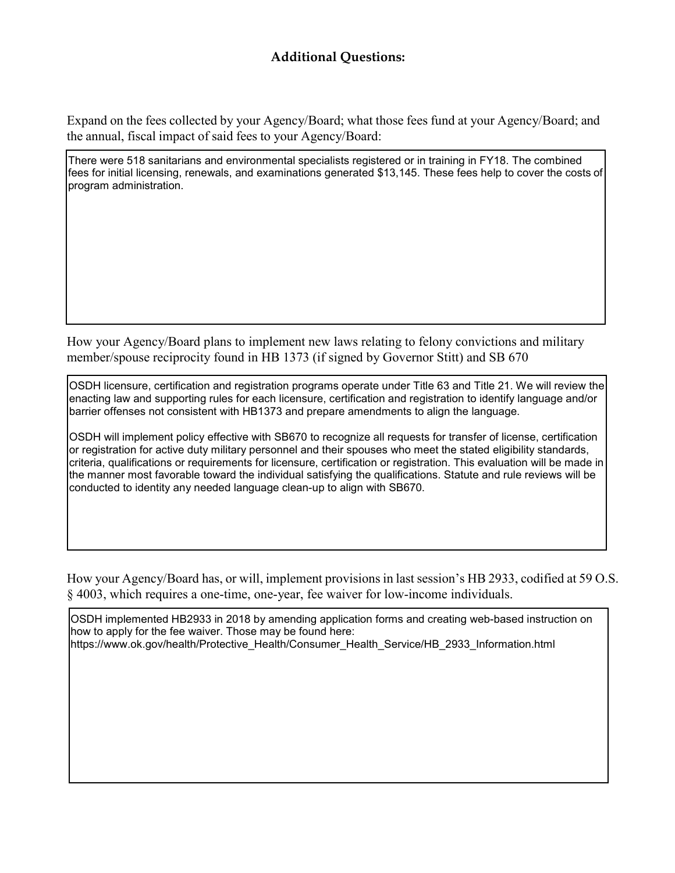Expand on the fees collected by your Agency/Board; what those fees fund at your Agency/Board; and the annual, fiscal impact of said fees to your Agency/Board:

There were 518 sanitarians and environmental specialists registered or in training in FY18. The combined fees for initial licensing, renewals, and examinations generated \$13,145. These fees help to cover the costs of program administration.

How your Agency/Board plans to implement new laws relating to felony convictions and military member/spouse reciprocity found in HB 1373 (if signed by Governor Stitt) and SB 670

OSDH licensure, certification and registration programs operate under Title 63 and Title 21. We will review the enacting law and supporting rules for each licensure, certification and registration to identify language and/or barrier offenses not consistent with HB1373 and prepare amendments to align the language.

OSDH will implement policy effective with SB670 to recognize all requests for transfer of license, certification or registration for active duty military personnel and their spouses who meet the stated eligibility standards, criteria, qualifications or requirements for licensure, certification or registration. This evaluation will be made in the manner most favorable toward the individual satisfying the qualifications. Statute and rule reviews will be conducted to identity any needed language clean-up to align with SB670.

How your Agency/Board has, or will, implement provisions in last session's HB 2933, codified at 59 O.S. § 4003, which requires a one-time, one-year, fee waiver for low-income individuals.

OSDH implemented HB2933 in 2018 by amending application forms and creating web-based instruction on how to apply for the fee waiver. Those may be found here: [https://www.ok.gov/health/Protective\\_Health/Consumer\\_Health\\_Service/HB\\_2933\\_Information.html](http://www.ok.gov/health/Protective_Health/Consumer_Health_Service/HB_2933_Information.html)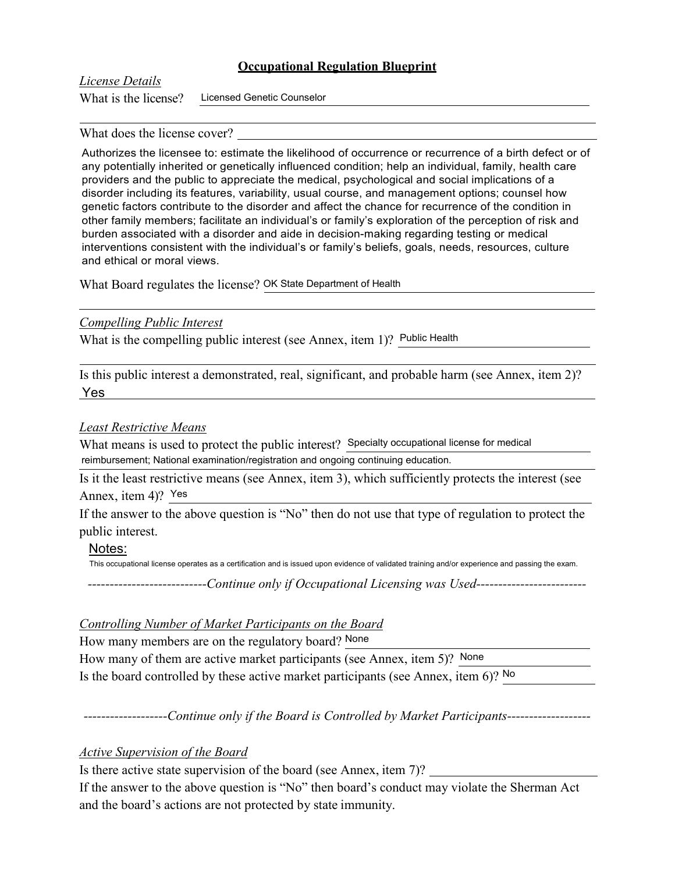## *License Details*

What is the license? Licensed Genetic Counselor

#### What does the license cover?

Authorizes the licensee to: estimate the likelihood of occurrence or recurrence of a birth defect or of any potentially inherited or genetically influenced condition; help an individual, family, health care providers and the public to appreciate the medical, psychological and social implications of a disorder including its features, variability, usual course, and management options; counsel how genetic factors contribute to the disorder and affect the chance for recurrence of the condition in other family members; facilitate an individual's or family's exploration of the perception of risk and burden associated with a disorder and aide in decision-making regarding testing or medical interventions consistent with the individual's or family's beliefs, goals, needs, resources, culture and ethical or moral views.

What Board regulates the license? OK State Department of Health

## *Compelling Public Interest*

What is the compelling public interest (see Annex, item 1)? Public Health

Is this public interest a demonstrated, real, significant, and probable harm (see Annex, item 2)? Yes

## *Least Restrictive Means*

What means is used to protect the public interest? Specialty occupational license for medical reimbursement; National examination/registration and ongoing continuing education.

Is it the least restrictive means (see Annex, item 3), which sufficiently protects the interest (see Annex, item 4)? Yes

If the answer to the above question is "No" then do not use that type of regulation to protect the public interest.

#### Notes:

This occupational license operates as a certification and is issued upon evidence of validated training and/or experience and passing the exam.

*---------------------------Continue only if Occupational Licensing was Used-------------------------*

## *Controlling Number of Market Participants on the Board*

How many members are on the regulatory board? None How many of them are active market participants (see Annex, item 5)? None Is the board controlled by these active market participants (see Annex, item 6)? No

*-------------------Continue only if the Board is Controlled by Market Participants-------------------*

## *Active Supervision of the Board*

Is there active state supervision of the board (see Annex, item 7)?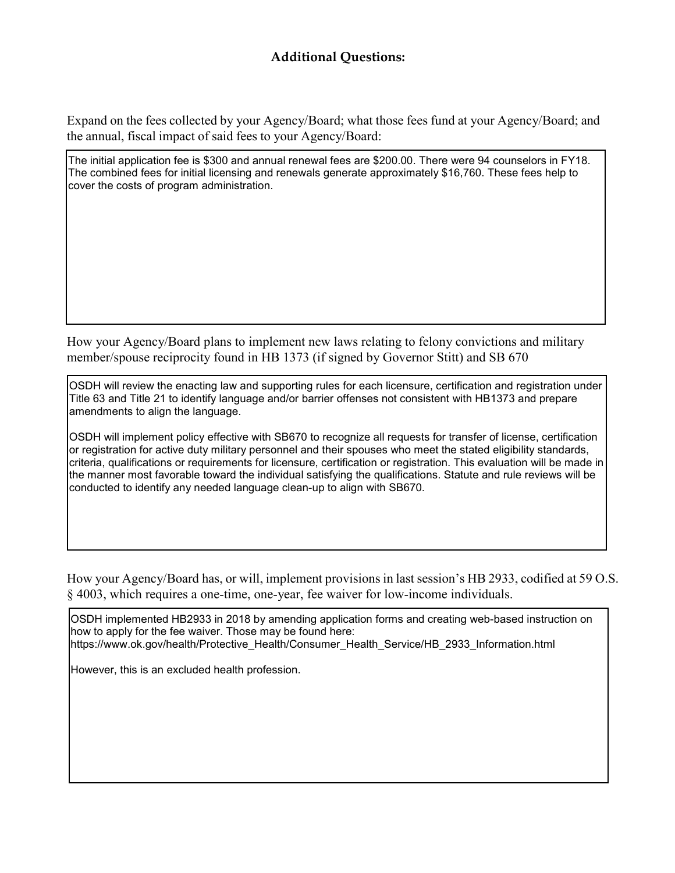Expand on the fees collected by your Agency/Board; what those fees fund at your Agency/Board; and the annual, fiscal impact of said fees to your Agency/Board:

The initial application fee is \$300 and annual renewal fees are \$200.00. There were 94 counselors in FY18. The combined fees for initial licensing and renewals generate approximately \$16,760. These fees help to cover the costs of program administration.

How your Agency/Board plans to implement new laws relating to felony convictions and military member/spouse reciprocity found in HB 1373 (if signed by Governor Stitt) and SB 670

OSDH will review the enacting law and supporting rules for each licensure, certification and registration under Title 63 and Title 21 to identify language and/or barrier offenses not consistent with HB1373 and prepare amendments to align the language.

OSDH will implement policy effective with SB670 to recognize all requests for transfer of license, certification or registration for active duty military personnel and their spouses who meet the stated eligibility standards, criteria, qualifications or requirements for licensure, certification or registration. This evaluation will be made in the manner most favorable toward the individual satisfying the qualifications. Statute and rule reviews will be conducted to identify any needed language clean-up to align with SB670.

How your Agency/Board has, or will, implement provisions in last session's HB 2933, codified at 59 O.S. § 4003, which requires a one-time, one-year, fee waiver for low-income individuals.

OSDH implemented HB2933 in 2018 by amending application forms and creating web-based instruction on how to apply for the fee waiver. Those may be found here: [https://www.ok.gov/health/Protective\\_Health/Consumer\\_Health\\_Service/HB\\_2933\\_Information.html](http://www.ok.gov/health/Protective_Health/Consumer_Health_Service/HB_2933_Information.html)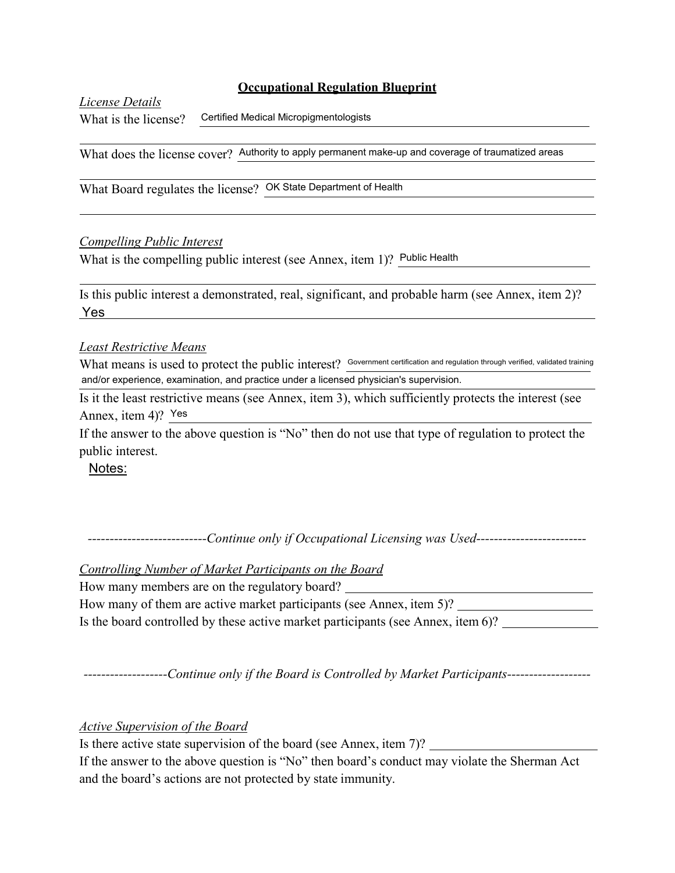*License Details*

What is the license?

Certified Medical Micropigmentologists

What does the license cover? Authority to apply permanent make-up and coverage of traumatized areas

What Board regulates the license? OK State Department of Health

## *Compelling Public Interest*

What is the compelling public interest (see Annex, item 1)? Public Health

Is this public interest a demonstrated, real, significant, and probable harm (see Annex, item 2)? Yes

## *Least Restrictive Means*

What means is used to protect the public interest? Government certification and regulation through verified, validated training and/or experience, examination, and practice under a licensed physician's supervision.

Is it the least restrictive means (see Annex, item 3), which sufficiently protects the interest (see Annex, item 4)? Yes

If the answer to the above question is "No" then do not use that type of regulation to protect the public interest.

Notes:

*---------------------------Continue only if Occupational Licensing was Used-------------------------*

*Controlling Number of Market Participants on the Board*

How many members are on the regulatory board?

| How many of them are active market participants (see Annex, item 5)?             |  |
|----------------------------------------------------------------------------------|--|
| Is the board controlled by these active market participants (see Annex, item 6)? |  |

*-------------------Continue only if the Board is Controlled by Market Participants-------------------*

*Active Supervision of the Board*

Is there active state supervision of the board (see Annex, item 7)?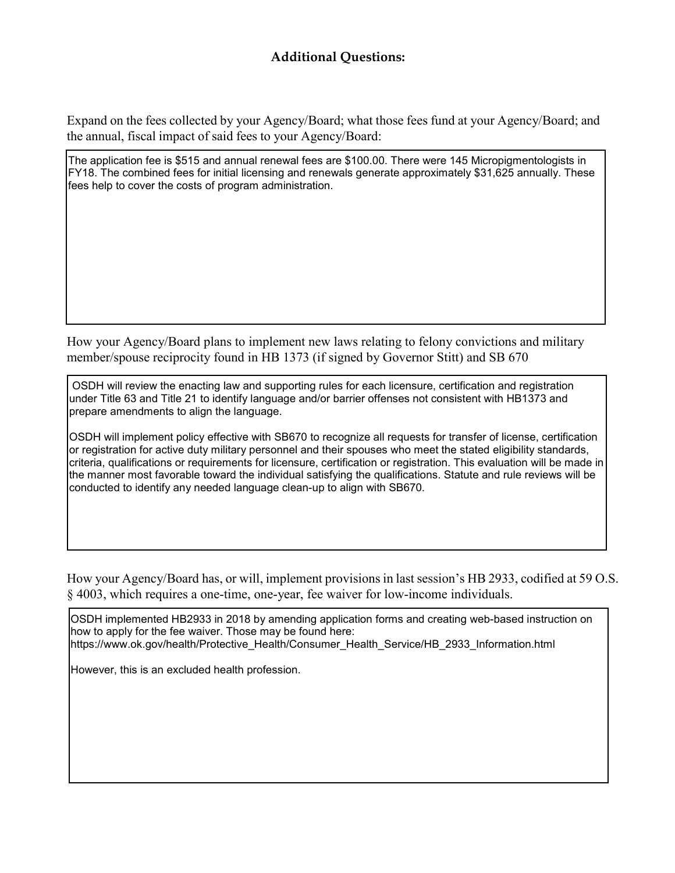Expand on the fees collected by your Agency/Board; what those fees fund at your Agency/Board; and the annual, fiscal impact of said fees to your Agency/Board:

The application fee is \$515 and annual renewal fees are \$100.00. There were 145 Micropigmentologists in FY18. The combined fees for initial licensing and renewals generate approximately \$31,625 annually. These fees help to cover the costs of program administration.

How your Agency/Board plans to implement new laws relating to felony convictions and military member/spouse reciprocity found in HB 1373 (if signed by Governor Stitt) and SB 670

OSDH will review the enacting law and supporting rules for each licensure, certification and registration under Title 63 and Title 21 to identify language and/or barrier offenses not consistent with HB1373 and prepare amendments to align the language.

OSDH will implement policy effective with SB670 to recognize all requests for transfer of license, certification or registration for active duty military personnel and their spouses who meet the stated eligibility standards, criteria, qualifications or requirements for licensure, certification or registration. This evaluation will be made in the manner most favorable toward the individual satisfying the qualifications. Statute and rule reviews will be conducted to identify any needed language clean-up to align with SB670.

How your Agency/Board has, or will, implement provisions in last session's HB 2933, codified at 59 O.S. § 4003, which requires a one-time, one-year, fee waiver for low-income individuals.

OSDH implemented HB2933 in 2018 by amending application forms and creating web-based instruction on how to apply for the fee waiver. Those may be found here: [https://www.ok.gov/health/Protective\\_Health/Consumer\\_Health\\_Service/HB\\_2933\\_Information.html](http://www.ok.gov/health/Protective_Health/Consumer_Health_Service/HB_2933_Information.html)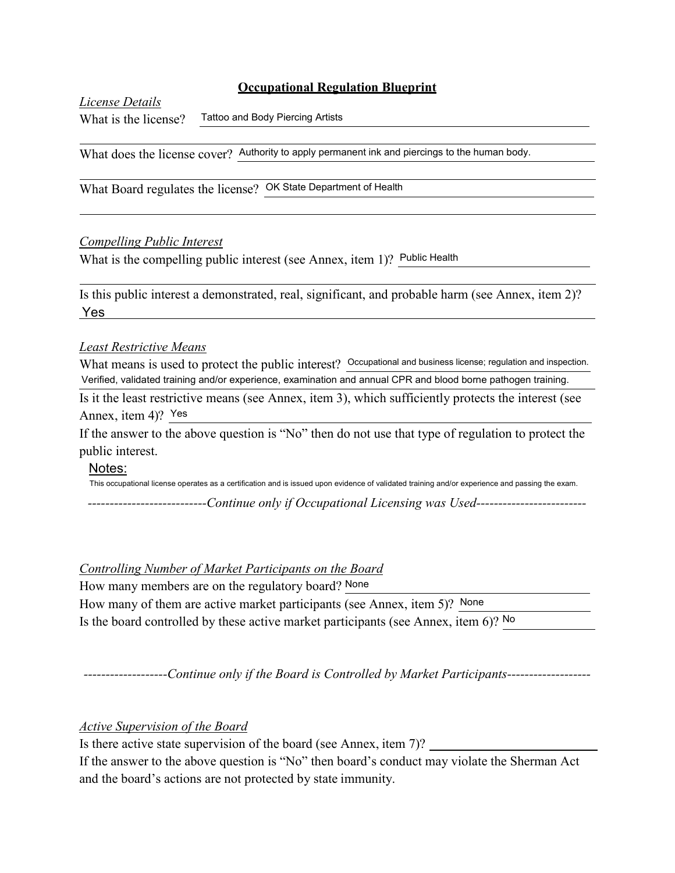*License Details*

What is the license? Tattoo and Body Piercing Artists

What does the license cover? Authority to apply permanent ink and piercings to the human body.

What Board regulates the license? OK State Department of Health

## *Compelling Public Interest*

What is the compelling public interest (see Annex, item 1)? Public Health

Is this public interest a demonstrated, real, significant, and probable harm (see Annex, item 2)? Yes

#### *Least Restrictive Means*

What means is used to protect the public interest? Occupational and business license; regulation and inspection. Verified, validated training and/or experience, examination and annual CPR and blood borne pathogen training.

Is it the least restrictive means (see Annex, item 3), which sufficiently protects the interest (see Annex, item 4)? Yes

If the answer to the above question is "No" then do not use that type of regulation to protect the public interest.

#### Notes:

This occupational license operates as a certification and is issued upon evidence of validated training and/or experience and passing the exam.

*---------------------------Continue only if Occupational Licensing was Used-------------------------*

#### *Controlling Number of Market Participants on the Board*

How many members are on the regulatory board? None

How many of them are active market participants (see Annex, item 5)? None Is the board controlled by these active market participants (see Annex, item 6)? No

*-------------------Continue only if the Board is Controlled by Market Participants-------------------*

## *Active Supervision of the Board*

Is there active state supervision of the board (see Annex, item 7)?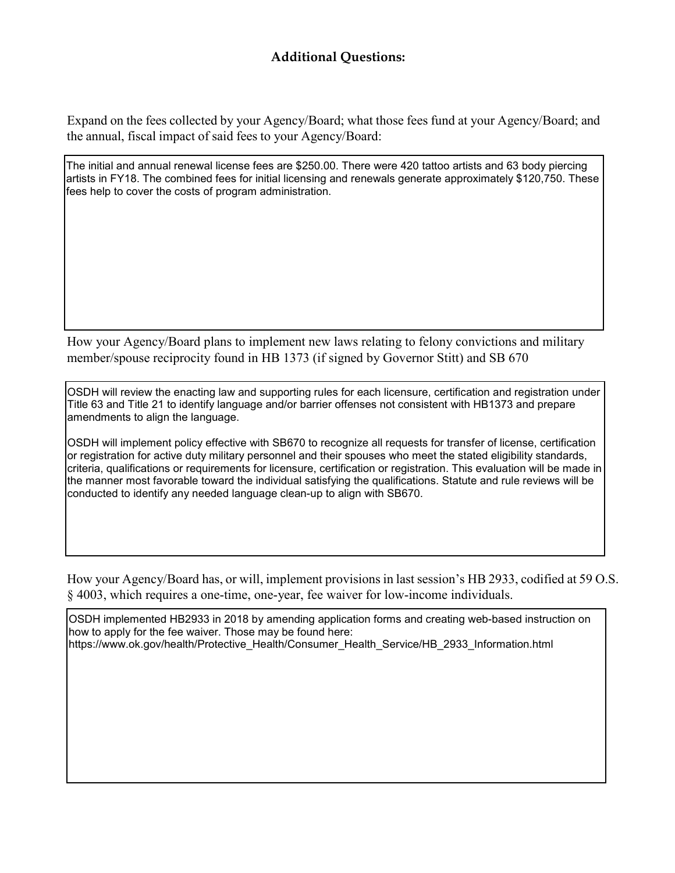Expand on the fees collected by your Agency/Board; what those fees fund at your Agency/Board; and the annual, fiscal impact of said fees to your Agency/Board:

The initial and annual renewal license fees are \$250.00. There were 420 tattoo artists and 63 body piercing artists in FY18. The combined fees for initial licensing and renewals generate approximately \$120,750. These fees help to cover the costs of program administration.

How your Agency/Board plans to implement new laws relating to felony convictions and military member/spouse reciprocity found in HB 1373 (if signed by Governor Stitt) and SB 670

OSDH will review the enacting law and supporting rules for each licensure, certification and registration under Title 63 and Title 21 to identify language and/or barrier offenses not consistent with HB1373 and prepare amendments to align the language.

OSDH will implement policy effective with SB670 to recognize all requests for transfer of license, certification or registration for active duty military personnel and their spouses who meet the stated eligibility standards, criteria, qualifications or requirements for licensure, certification or registration. This evaluation will be made in the manner most favorable toward the individual satisfying the qualifications. Statute and rule reviews will be conducted to identify any needed language clean-up to align with SB670.

How your Agency/Board has, or will, implement provisions in last session's HB 2933, codified at 59 O.S. § 4003, which requires a one-time, one-year, fee waiver for low-income individuals.

OSDH implemented HB2933 in 2018 by amending application forms and creating web-based instruction on how to apply for the fee waiver. Those may be found here: [https://www.ok.gov/health/Protective\\_Health/Consumer\\_Health\\_Service/HB\\_2933\\_Information.html](http://www.ok.gov/health/Protective_Health/Consumer_Health_Service/HB_2933_Information.html)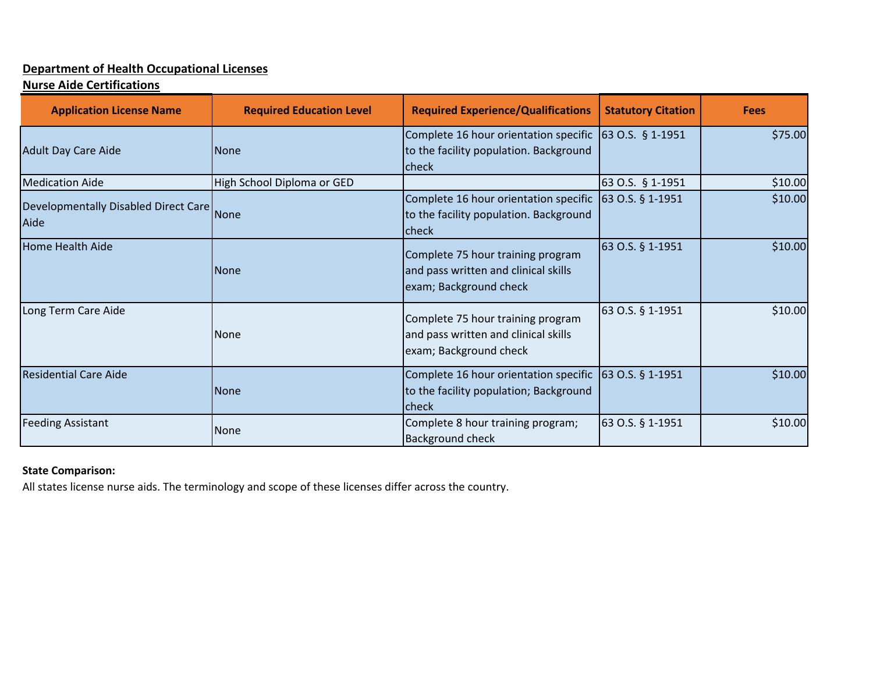# **Department of Health Occupational Licenses**

# **Nurse Aide Certifications**

| <b>Application License Name</b>                   | <b>Required Education Level</b> | <b>Required Experience/Qualifications</b>                                                           | <b>Statutory Citation</b>         | <b>Fees</b> |
|---------------------------------------------------|---------------------------------|-----------------------------------------------------------------------------------------------------|-----------------------------------|-------------|
| <b>Adult Day Care Aide</b>                        | <b>None</b>                     | Complete 16 hour orientation specific<br>to the facility population. Background<br><b>check</b>     | 63 O.S. $§$ 1-1951                | \$75.00     |
| <b>Medication Aide</b>                            | High School Diploma or GED      |                                                                                                     | 63 O.S. § 1-1951                  | \$10.00     |
| Developmentally Disabled Direct Care None<br>Aide |                                 | Complete 16 hour orientation specific<br>to the facility population. Background<br>Icheck           | $\left  63 \right $ O.S. § 1-1951 | \$10.00     |
| Home Health Aide                                  | <b>None</b>                     | Complete 75 hour training program<br>and pass written and clinical skills<br>exam; Background check | 63 O.S. § 1-1951                  | \$10.00     |
| Long Term Care Aide                               | <b>None</b>                     | Complete 75 hour training program<br>and pass written and clinical skills<br>exam; Background check | 63 O.S. § 1-1951                  | \$10.00     |
| <b>Residential Care Aide</b>                      | None                            | Complete 16 hour orientation specific<br>to the facility population; Background<br><b>Icheck</b>    | 63 O.S. § 1-1951                  | \$10.00     |
| <b>Feeding Assistant</b>                          | <b>None</b>                     | Complete 8 hour training program;<br><b>Background check</b>                                        | 63 O.S. § 1-1951                  | \$10.00     |

## **State Comparison:**

All states license nurse aids. The terminology and scope of these licenses differ across the country.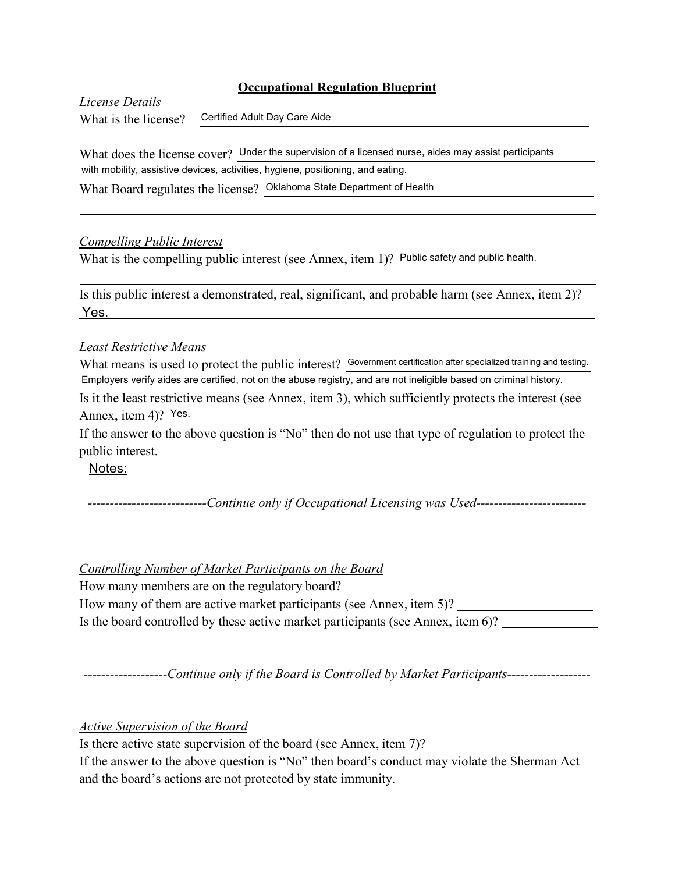*License Details* What is the license? Certified Adult Day Care Aide

What does the license cover? Under the supervision of a licensed nurse, aides may assist participants with mobility, assistive devices, activities, hygiene, positioning, and eating.

What Board regulates the license? Oklahoma State Department of Health

## *Compelling Public Interest*

What is the compelling public interest (see Annex, item 1)? Public safety and public health.

Is this public interest a demonstrated, real, significant, and probable harm (see Annex, item 2)? Yes.

## *Least Restrictive Means*

What means is used to protect the public interest? Government certification after specialized training and testing. Employers verify aides are certified, not on the abuse registry, and are not ineligible based on criminal history.

Is it the least restrictive means (see Annex, item 3), which sufficiently protects the interest (see Annex, item 4)? Yes.

If the answer to the above question is "No" then do not use that type of regulation to protect the public interest.

Notes:

*---------------------------Continue only if Occupational Licensing was Used-------------------------*

## *Controlling Number of Market Participants on the Board*

How many members are on the regulatory board? How many of them are active market participants (see Annex, item 5)? Is the board controlled by these active market participants (see Annex, item 6)?

*-------------------Continue only if the Board is Controlled by Market Participants-------------------*

*Active Supervision of the Board*

Is there active state supervision of the board (see Annex, item 7)?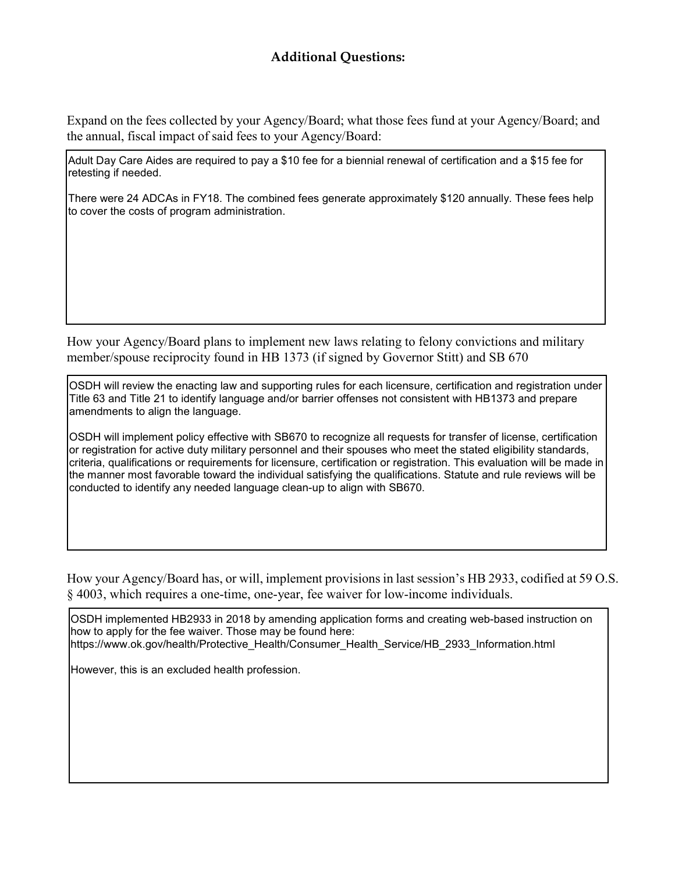Expand on the fees collected by your Agency/Board; what those fees fund at your Agency/Board; and the annual, fiscal impact of said fees to your Agency/Board:

Adult Day Care Aides are required to pay a \$10 fee for a biennial renewal of certification and a \$15 fee for retesting if needed.

There were 24 ADCAs in FY18. The combined fees generate approximately \$120 annually. These fees help to cover the costs of program administration.

How your Agency/Board plans to implement new laws relating to felony convictions and military member/spouse reciprocity found in HB 1373 (if signed by Governor Stitt) and SB 670

OSDH will review the enacting law and supporting rules for each licensure, certification and registration under Title 63 and Title 21 to identify language and/or barrier offenses not consistent with HB1373 and prepare amendments to align the language.

OSDH will implement policy effective with SB670 to recognize all requests for transfer of license, certification or registration for active duty military personnel and their spouses who meet the stated eligibility standards, criteria, qualifications or requirements for licensure, certification or registration. This evaluation will be made in the manner most favorable toward the individual satisfying the qualifications. Statute and rule reviews will be conducted to identify any needed language clean-up to align with SB670.

How your Agency/Board has, or will, implement provisions in last session's HB 2933, codified at 59 O.S. § 4003, which requires a one-time, one-year, fee waiver for low-income individuals.

OSDH implemented HB2933 in 2018 by amending application forms and creating web-based instruction on how to apply for the fee waiver. Those may be found here: [https://www.ok.gov/health/Protective\\_Health/Consumer\\_Health\\_Service/HB\\_2933\\_Information.html](http://www.ok.gov/health/Protective_Health/Consumer_Health_Service/HB_2933_Information.html)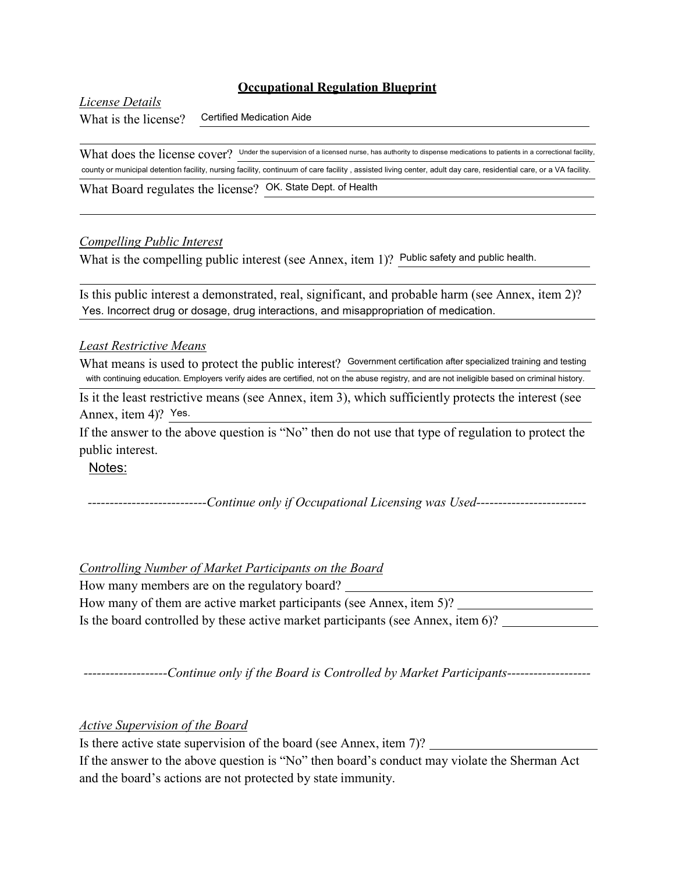*License Details*

What is the license? Certified Medication Aide

What does the license cover? Under the supervision of a licensed nurse, has authority to dispense medications to patients in a correctional facility, county or municipal detention facility, nursing facility, continuum of care facility , assisted living center, adult day care, residential care, or a VA facility.

What Board regulates the license? OK. State Dept. of Health

## *Compelling Public Interest*

What is the compelling public interest (see Annex, item 1)? Public safety and public health.

Is this public interest a demonstrated, real, significant, and probable harm (see Annex, item 2)? Yes. Incorrect drug or dosage, drug interactions, and misappropriation of medication.

## *Least Restrictive Means*

What means is used to protect the public interest? Government certification after specialized training and testing with continuing education. Employers verify aides are certified, not on the abuse registry, and are not ineligible based on criminal history.

Is it the least restrictive means (see Annex, item 3), which sufficiently protects the interest (see Annex, item 4)? Yes.

If the answer to the above question is "No" then do not use that type of regulation to protect the public interest.

Notes:

*---------------------------Continue only if Occupational Licensing was Used-------------------------*

## *Controlling Number of Market Participants on the Board*

How many members are on the regulatory board?

| How many of them are active market participants (see Annex, item 5)?             |  |
|----------------------------------------------------------------------------------|--|
| Is the board controlled by these active market participants (see Annex, item 6)? |  |

*-------------------Continue only if the Board is Controlled by Market Participants-------------------*

## *Active Supervision of the Board*

Is there active state supervision of the board (see Annex, item 7)?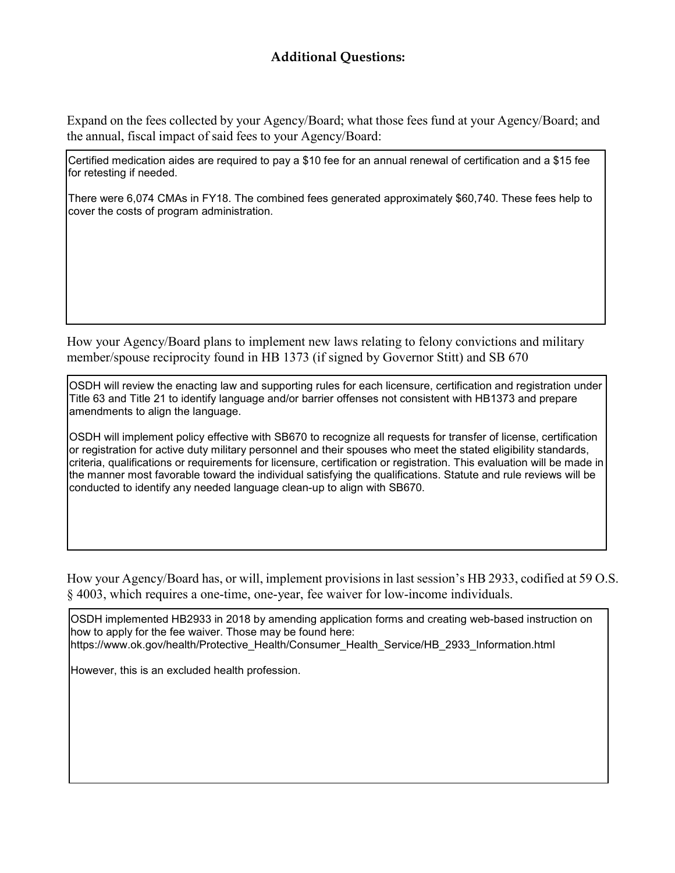Expand on the fees collected by your Agency/Board; what those fees fund at your Agency/Board; and the annual, fiscal impact of said fees to your Agency/Board:

Certified medication aides are required to pay a \$10 fee for an annual renewal of certification and a \$15 fee for retesting if needed.

There were 6,074 CMAs in FY18. The combined fees generated approximately \$60,740. These fees help to cover the costs of program administration.

How your Agency/Board plans to implement new laws relating to felony convictions and military member/spouse reciprocity found in HB 1373 (if signed by Governor Stitt) and SB 670

OSDH will review the enacting law and supporting rules for each licensure, certification and registration under Title 63 and Title 21 to identify language and/or barrier offenses not consistent with HB1373 and prepare amendments to align the language.

OSDH will implement policy effective with SB670 to recognize all requests for transfer of license, certification or registration for active duty military personnel and their spouses who meet the stated eligibility standards, criteria, qualifications or requirements for licensure, certification or registration. This evaluation will be made in the manner most favorable toward the individual satisfying the qualifications. Statute and rule reviews will be conducted to identify any needed language clean-up to align with SB670.

How your Agency/Board has, or will, implement provisions in last session's HB 2933, codified at 59 O.S. § 4003, which requires a one-time, one-year, fee waiver for low-income individuals.

OSDH implemented HB2933 in 2018 by amending application forms and creating web-based instruction on how to apply for the fee waiver. Those may be found here: [https://www.ok.gov/health/Protective\\_Health/Consumer\\_Health\\_Service/HB\\_2933\\_Information.html](http://www.ok.gov/health/Protective_Health/Consumer_Health_Service/HB_2933_Information.html)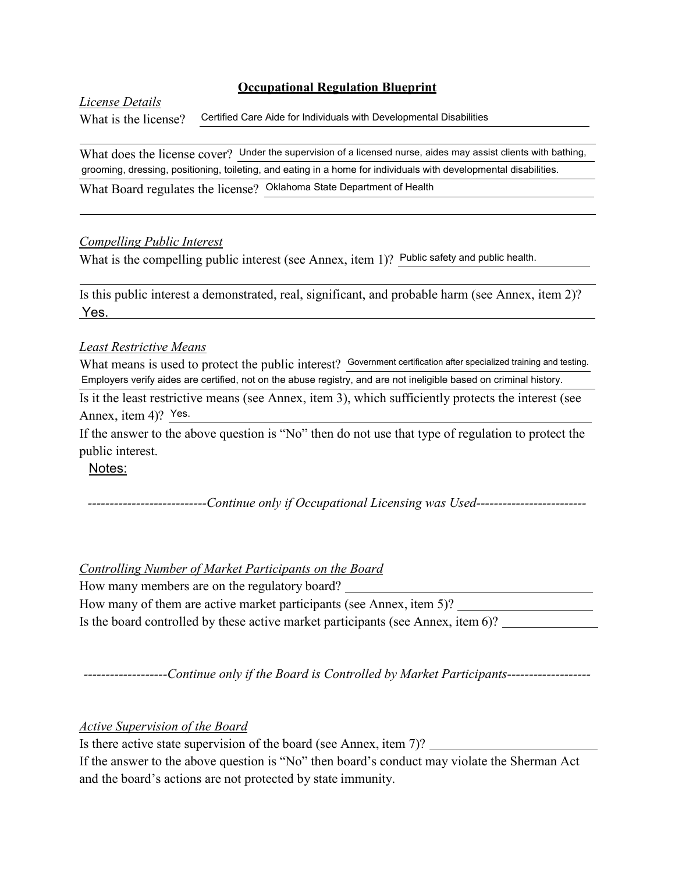### *License Details*

What is the license? Certified Care Aide for Individuals with Developmental Disabilities

What does the license cover? Under the supervision of a licensed nurse, aides may assist clients with bathing, grooming, dressing, positioning, toileting, and eating in a home for individuals with developmental disabilities. What Board regulates the license? Oklahoma State Department of Health

#### *Compelling Public Interest*

What is the compelling public interest (see Annex, item 1)? Public safety and public health.

Is this public interest a demonstrated, real, significant, and probable harm (see Annex, item 2)? Yes.

#### *Least Restrictive Means*

What means is used to protect the public interest? Government certification after specialized training and testing. Employers verify aides are certified, not on the abuse registry, and are not ineligible based on criminal history.

Is it the least restrictive means (see Annex, item 3), which sufficiently protects the interest (see Annex, item 4)? Yes.

If the answer to the above question is "No" then do not use that type of regulation to protect the public interest.

Notes:

*---------------------------Continue only if Occupational Licensing was Used-------------------------*

## *Controlling Number of Market Participants on the Board*

How many members are on the regulatory board? How many of them are active market participants (see Annex, item 5)? Is the board controlled by these active market participants (see Annex, item 6)?

*-------------------Continue only if the Board is Controlled by Market Participants-------------------*

*Active Supervision of the Board*

Is there active state supervision of the board (see Annex, item 7)?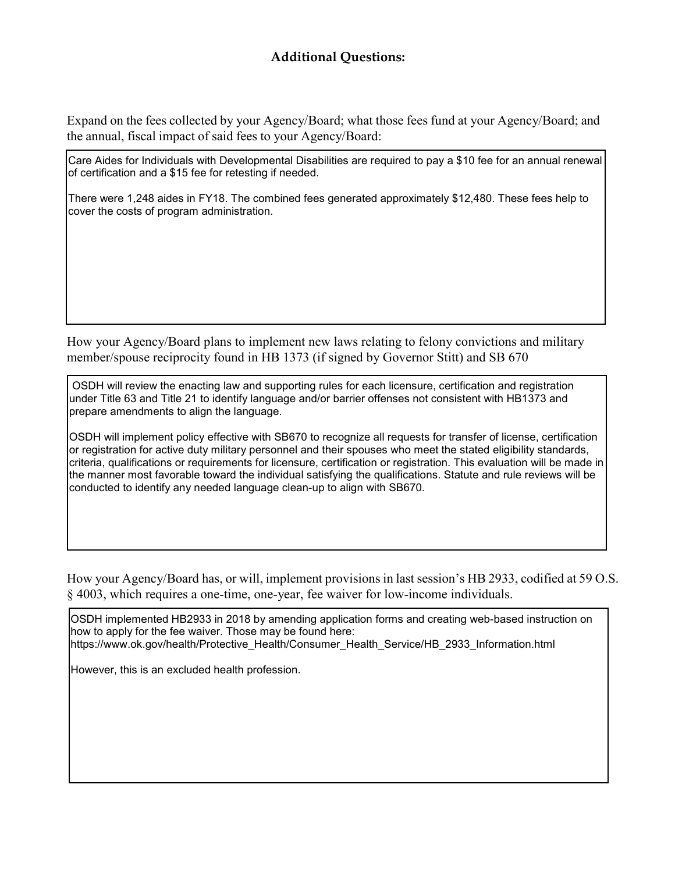Expand on the fees collected by your Agency/Board; what those fees fund at your Agency/Board; and the annual, fiscal impact of said fees to your Agency/Board:

Care Aides for Individuals with Developmental Disabilities are required to pay a \$10 fee for an annual renewal of certification and a \$15 fee for retesting if needed.

There were 1,248 aides in FY18. The combined fees generated approximately \$12,480. These fees help to cover the costs of program administration.

How your Agency/Board plans to implement new laws relating to felony convictions and military member/spouse reciprocity found in HB 1373 (if signed by Governor Stitt) and SB 670

OSDH will review the enacting law and supporting rules for each licensure, certification and registration under Title 63 and Title 21 to identify language and/or barrier offenses not consistent with HB1373 and prepare amendments to align the language.

OSDH will implement policy effective with SB670 to recognize all requests for transfer of license, certification or registration for active duty military personnel and their spouses who meet the stated eligibility standards, criteria, qualifications or requirements for licensure, certification or registration. This evaluation will be made in the manner most favorable toward the individual satisfying the qualifications. Statute and rule reviews will be conducted to identify any needed language clean-up to align with SB670.

How your Agency/Board has, or will, implement provisions in last session's HB 2933, codified at 59 O.S. § 4003, which requires a one-time, one-year, fee waiver for low-income individuals.

OSDH implemented HB2933 in 2018 by amending application forms and creating web-based instruction on how to apply for the fee waiver. Those may be found here: [https://www.ok.gov/health/Protective\\_Health/Consumer\\_Health\\_Service/HB\\_2933\\_Information.html](http://www.ok.gov/health/Protective_Health/Consumer_Health_Service/HB_2933_Information.html)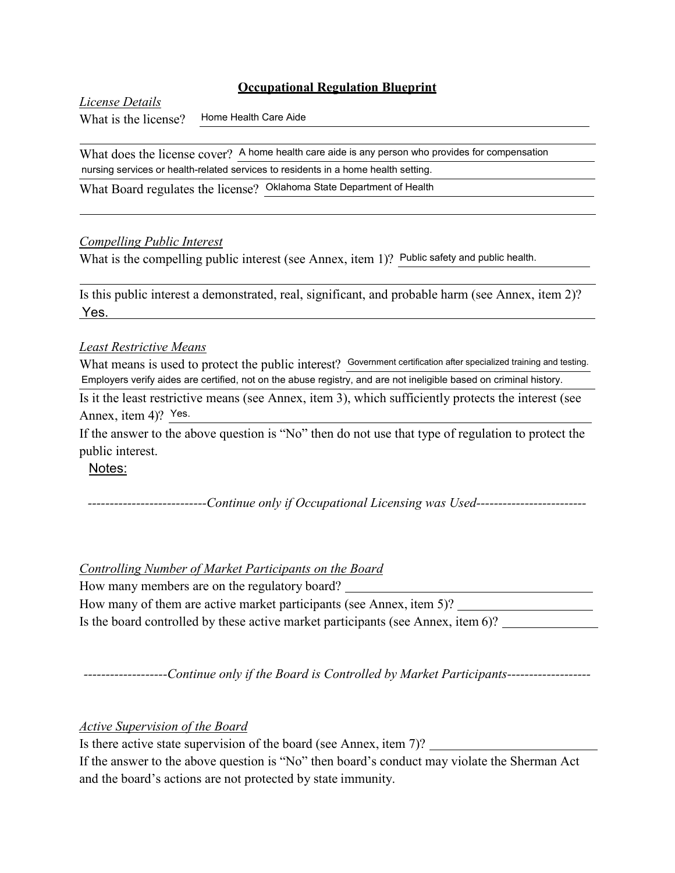*License Details* What is the license?

Home Health Care Aide

What does the license cover? A home health care aide is any person who provides for compensation nursing services or health-related services to residents in a home health setting.

What Board regulates the license? Oklahoma State Department of Health

## *Compelling Public Interest*

What is the compelling public interest (see Annex, item 1)? Public safety and public health.

Is this public interest a demonstrated, real, significant, and probable harm (see Annex, item 2)? Yes.

## *Least Restrictive Means*

What means is used to protect the public interest? Government certification after specialized training and testing. Employers verify aides are certified, not on the abuse registry, and are not ineligible based on criminal history.

Is it the least restrictive means (see Annex, item 3), which sufficiently protects the interest (see Annex, item 4)? Yes.

If the answer to the above question is "No" then do not use that type of regulation to protect the public interest.

Notes:

*---------------------------Continue only if Occupational Licensing was Used-------------------------*

## *Controlling Number of Market Participants on the Board*

How many members are on the regulatory board? How many of them are active market participants (see Annex, item 5)? Is the board controlled by these active market participants (see Annex, item 6)?

*-------------------Continue only if the Board is Controlled by Market Participants-------------------*

*Active Supervision of the Board*

Is there active state supervision of the board (see Annex, item 7)?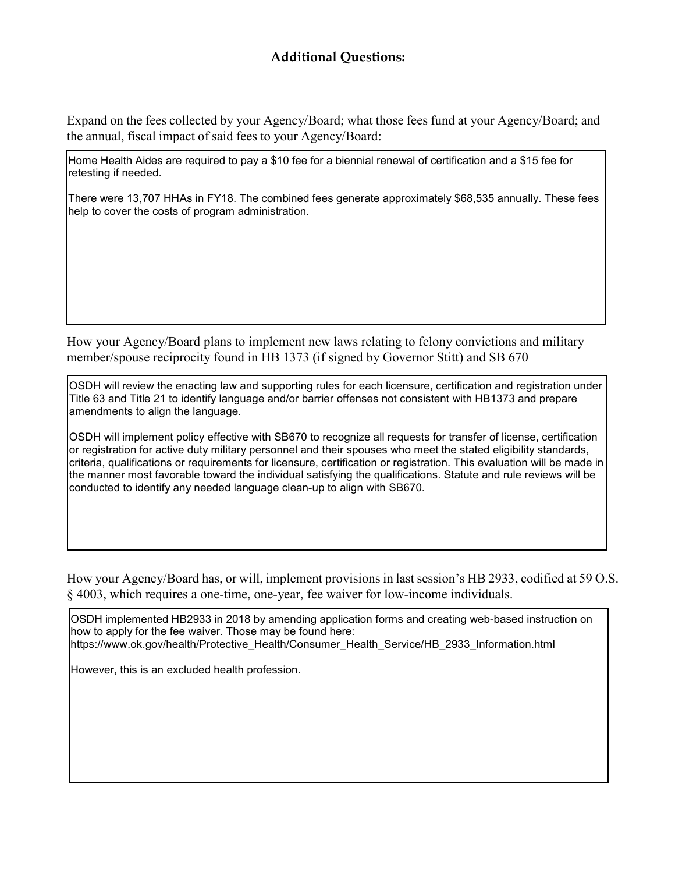Expand on the fees collected by your Agency/Board; what those fees fund at your Agency/Board; and the annual, fiscal impact of said fees to your Agency/Board:

Home Health Aides are required to pay a \$10 fee for a biennial renewal of certification and a \$15 fee for retesting if needed.

There were 13,707 HHAs in FY18. The combined fees generate approximately \$68,535 annually. These fees help to cover the costs of program administration.

How your Agency/Board plans to implement new laws relating to felony convictions and military member/spouse reciprocity found in HB 1373 (if signed by Governor Stitt) and SB 670

OSDH will review the enacting law and supporting rules for each licensure, certification and registration under Title 63 and Title 21 to identify language and/or barrier offenses not consistent with HB1373 and prepare amendments to align the language.

OSDH will implement policy effective with SB670 to recognize all requests for transfer of license, certification or registration for active duty military personnel and their spouses who meet the stated eligibility standards, criteria, qualifications or requirements for licensure, certification or registration. This evaluation will be made in the manner most favorable toward the individual satisfying the qualifications. Statute and rule reviews will be conducted to identify any needed language clean-up to align with SB670.

How your Agency/Board has, or will, implement provisions in last session's HB 2933, codified at 59 O.S. § 4003, which requires a one-time, one-year, fee waiver for low-income individuals.

OSDH implemented HB2933 in 2018 by amending application forms and creating web-based instruction on how to apply for the fee waiver. Those may be found here: [https://www.ok.gov/health/Protective\\_Health/Consumer\\_Health\\_Service/HB\\_2933\\_Information.html](http://www.ok.gov/health/Protective_Health/Consumer_Health_Service/HB_2933_Information.html)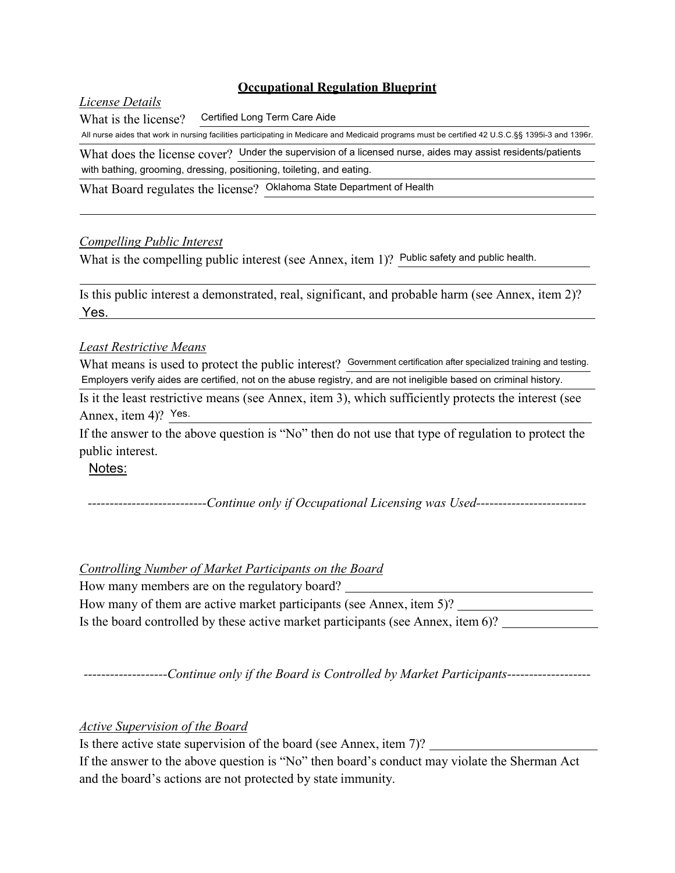## *License Details*

What is the license? Certified Long Term Care Aide

All nurse aides that work in nursing facilities participating in Medicare and Medicaid programs must be certified 42 U.S.C.§§ 1395i-3 and 1396r.

What does the license cover? Under the supervision of a licensed nurse, aides may assist residents/patients with bathing, grooming, dressing, positioning, toileting, and eating.

What Board regulates the license? Oklahoma State Department of Health

## *Compelling Public Interest*

What is the compelling public interest (see Annex, item 1)? Public safety and public health.

Is this public interest a demonstrated, real, significant, and probable harm (see Annex, item 2)? Yes.

## *Least Restrictive Means*

What means is used to protect the public interest? Government certification after specialized training and testing. Employers verify aides are certified, not on the abuse registry, and are not ineligible based on criminal history.

Is it the least restrictive means (see Annex, item 3), which sufficiently protects the interest (see Annex, item 4)? Yes.

If the answer to the above question is "No" then do not use that type of regulation to protect the public interest.

Notes:

*---------------------------Continue only if Occupational Licensing was Used-------------------------*

## *Controlling Number of Market Participants on the Board*

How many members are on the regulatory board? How many of them are active market participants (see Annex, item 5)? Is the board controlled by these active market participants (see Annex, item 6)?

*-------------------Continue only if the Board is Controlled by Market Participants-------------------*

*Active Supervision of the Board*

Is there active state supervision of the board (see Annex, item 7)?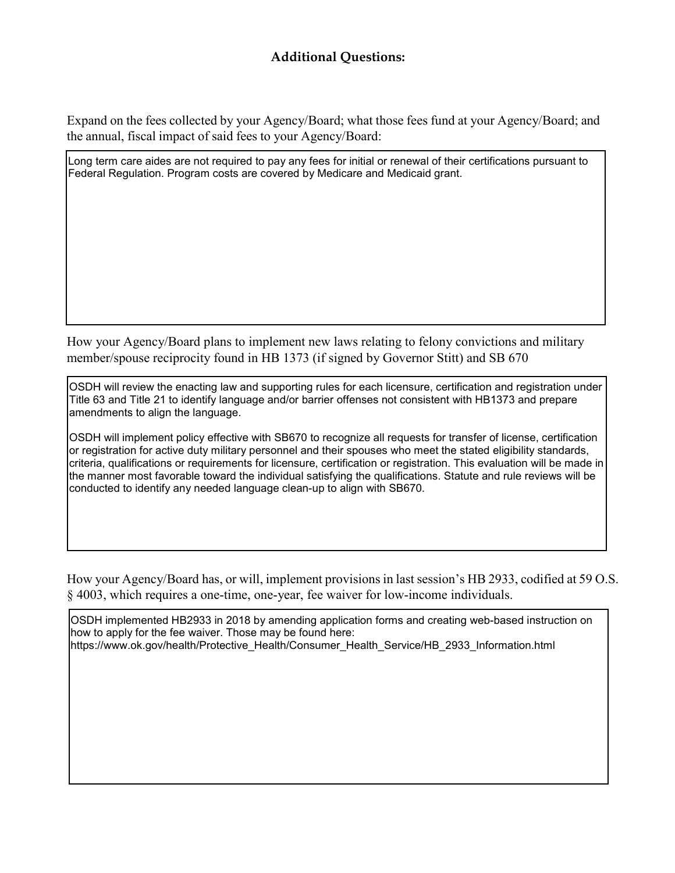Expand on the fees collected by your Agency/Board; what those fees fund at your Agency/Board; and the annual, fiscal impact of said fees to your Agency/Board:

Long term care aides are not required to pay any fees for initial or renewal of their certifications pursuant to Federal Regulation. Program costs are covered by Medicare and Medicaid grant.

How your Agency/Board plans to implement new laws relating to felony convictions and military member/spouse reciprocity found in HB 1373 (if signed by Governor Stitt) and SB 670

OSDH will review the enacting law and supporting rules for each licensure, certification and registration under Title 63 and Title 21 to identify language and/or barrier offenses not consistent with HB1373 and prepare amendments to align the language.

OSDH will implement policy effective with SB670 to recognize all requests for transfer of license, certification or registration for active duty military personnel and their spouses who meet the stated eligibility standards, criteria, qualifications or requirements for licensure, certification or registration. This evaluation will be made in the manner most favorable toward the individual satisfying the qualifications. Statute and rule reviews will be conducted to identify any needed language clean-up to align with SB670.

How your Agency/Board has, or will, implement provisions in last session's HB 2933, codified at 59 O.S. § 4003, which requires a one-time, one-year, fee waiver for low-income individuals.

OSDH implemented HB2933 in 2018 by amending application forms and creating web-based instruction on how to apply for the fee waiver. Those may be found here: [https://www.ok.gov/health/Protective\\_Health/Consumer\\_Health\\_Service/HB\\_2933\\_Information.html](http://www.ok.gov/health/Protective_Health/Consumer_Health_Service/HB_2933_Information.html)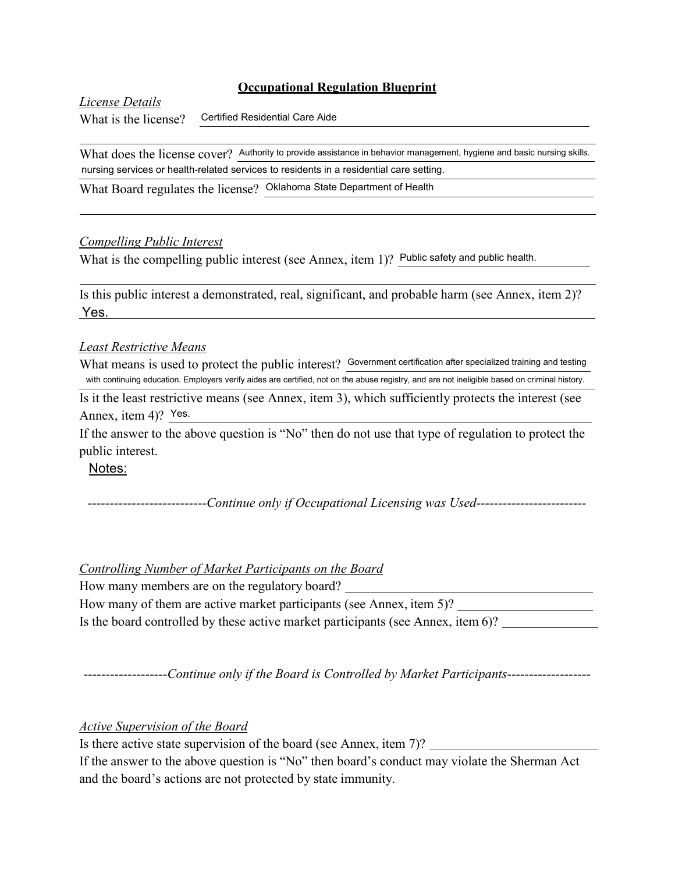*License Details*

What is the license?

Certified Residential Care Aide

What does the license cover? Authority to provide assistance in behavior management, hygiene and basic nursing skills. nursing services or health-related services to residents in a residential care setting.

What Board regulates the license? Oklahoma State Department of Health

## *Compelling Public Interest*

What is the compelling public interest (see Annex, item 1)? Public safety and public health.

Is this public interest a demonstrated, real, significant, and probable harm (see Annex, item 2)? Yes.

## *Least Restrictive Means*

What means is used to protect the public interest? Government certification after specialized training and testing with continuing education. Employers verify aides are certified, not on the abuse registry, and are not ineligible based on criminal history.

Is it the least restrictive means (see Annex, item 3), which sufficiently protects the interest (see Annex, item 4)? Yes.

If the answer to the above question is "No" then do not use that type of regulation to protect the public interest.

Notes:

*---------------------------Continue only if Occupational Licensing was Used-------------------------*

## *Controlling Number of Market Participants on the Board*

How many members are on the regulatory board? How many of them are active market participants (see Annex, item 5)? Is the board controlled by these active market participants (see Annex, item 6)?

*-------------------Continue only if the Board is Controlled by Market Participants-------------------*

*Active Supervision of the Board*

Is there active state supervision of the board (see Annex, item 7)?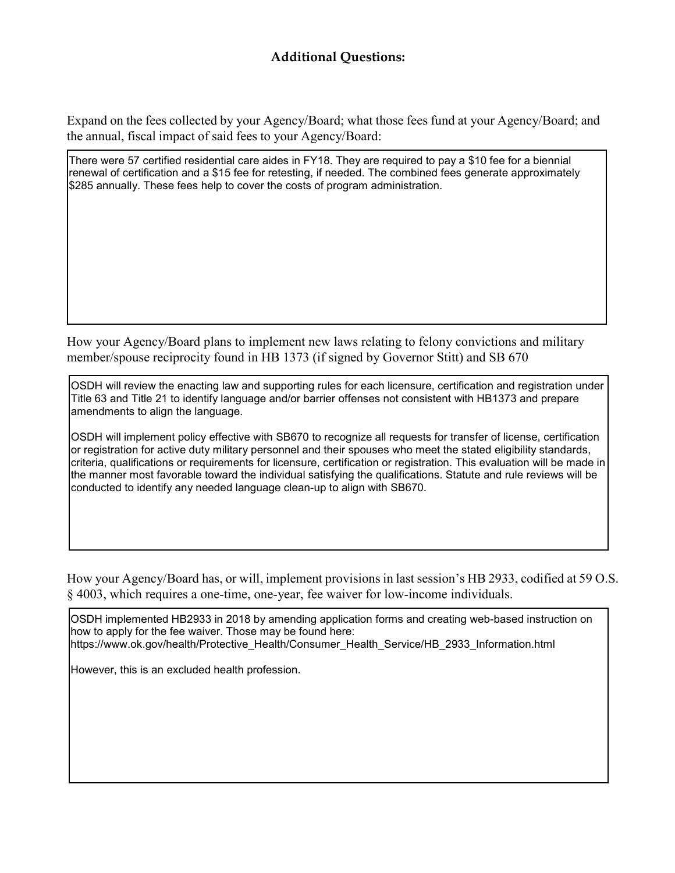Expand on the fees collected by your Agency/Board; what those fees fund at your Agency/Board; and the annual, fiscal impact of said fees to your Agency/Board:

There were 57 certified residential care aides in FY18. They are required to pay a \$10 fee for a biennial renewal of certification and a \$15 fee for retesting, if needed. The combined fees generate approximately \$285 annually. These fees help to cover the costs of program administration.

How your Agency/Board plans to implement new laws relating to felony convictions and military member/spouse reciprocity found in HB 1373 (if signed by Governor Stitt) and SB 670

OSDH will review the enacting law and supporting rules for each licensure, certification and registration under Title 63 and Title 21 to identify language and/or barrier offenses not consistent with HB1373 and prepare amendments to align the language.

OSDH will implement policy effective with SB670 to recognize all requests for transfer of license, certification or registration for active duty military personnel and their spouses who meet the stated eligibility standards, criteria, qualifications or requirements for licensure, certification or registration. This evaluation will be made in the manner most favorable toward the individual satisfying the qualifications. Statute and rule reviews will be conducted to identify any needed language clean-up to align with SB670.

How your Agency/Board has, or will, implement provisions in last session's HB 2933, codified at 59 O.S. § 4003, which requires a one-time, one-year, fee waiver for low-income individuals.

OSDH implemented HB2933 in 2018 by amending application forms and creating web-based instruction on how to apply for the fee waiver. Those may be found here: [https://www.ok.gov/health/Protective\\_Health/Consumer\\_Health\\_Service/HB\\_2933\\_Information.html](http://www.ok.gov/health/Protective_Health/Consumer_Health_Service/HB_2933_Information.html)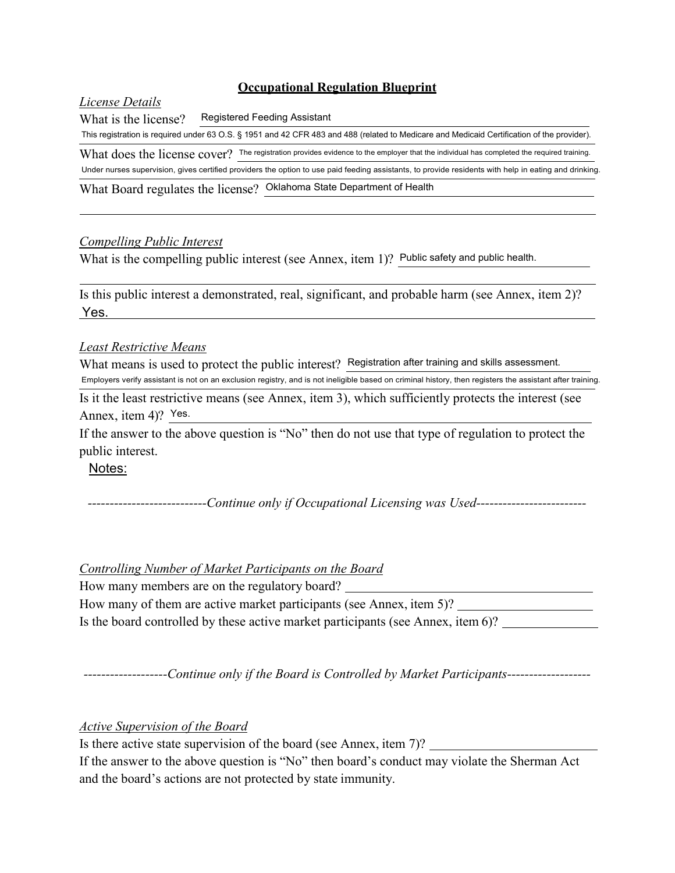## *License Details*

What is the license? Registered Feeding Assistant

This registration is required under 63 O.S. § 1951 and 42 CFR 483 and 488 (related to Medicare and Medicaid Certification of the provider).

What does the license cover? The registration provides evidence to the employer that the individual has completed the required training.

Under nurses supervision, gives certified providers the option to use paid feeding assistants, to provide residents with help in eating and drinking.

What Board regulates the license? Oklahoma State Department of Health

## *Compelling Public Interest*

What is the compelling public interest (see Annex, item 1)? Public safety and public health.

Is this public interest a demonstrated, real, significant, and probable harm (see Annex, item 2)? Yes.

## *Least Restrictive Means*

What means is used to protect the public interest? Registration after training and skills assessment. Employers verify assistant is not on an exclusion registry, and is not ineligible based on criminal history, then registers the assistant after training.

Is it the least restrictive means (see Annex, item 3), which sufficiently protects the interest (see Annex, item 4)? Yes.

If the answer to the above question is "No" then do not use that type of regulation to protect the public interest.

Notes:

*---------------------------Continue only if Occupational Licensing was Used-------------------------*

## *Controlling Number of Market Participants on the Board*

How many members are on the regulatory board? How many of them are active market participants (see Annex, item 5)? Is the board controlled by these active market participants (see Annex, item 6)?

*-------------------Continue only if the Board is Controlled by Market Participants-------------------*

*Active Supervision of the Board*

Is there active state supervision of the board (see Annex, item 7)?